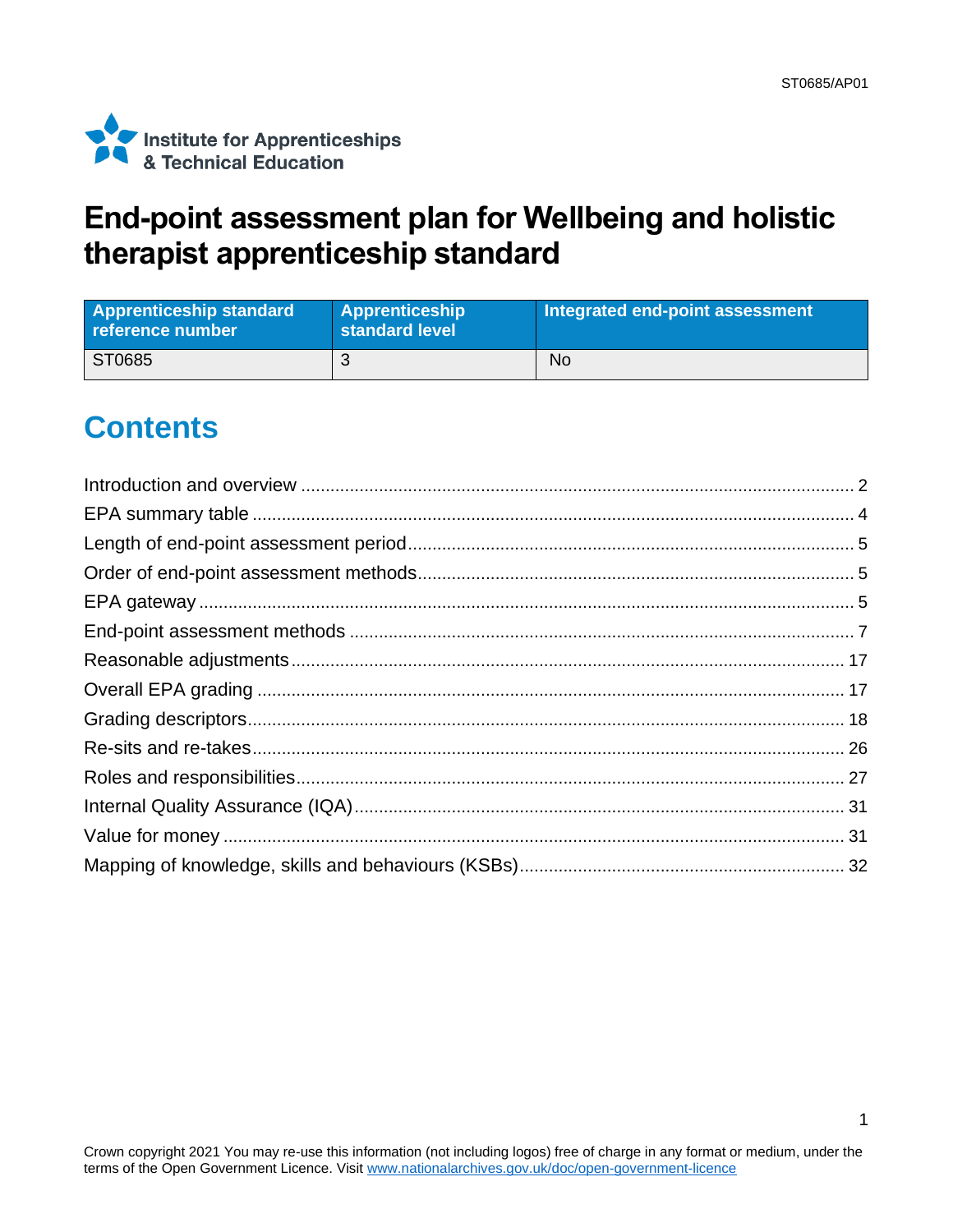1



## **End-point assessment plan for Wellbeing and holistic therapist apprenticeship standard**

| <b>Apprenticeship standard</b><br>reference number | <b>Apprenticeship</b><br>standard level | Integrated end-point assessment |
|----------------------------------------------------|-----------------------------------------|---------------------------------|
| ST0685                                             |                                         | <b>No</b>                       |

# **Contents**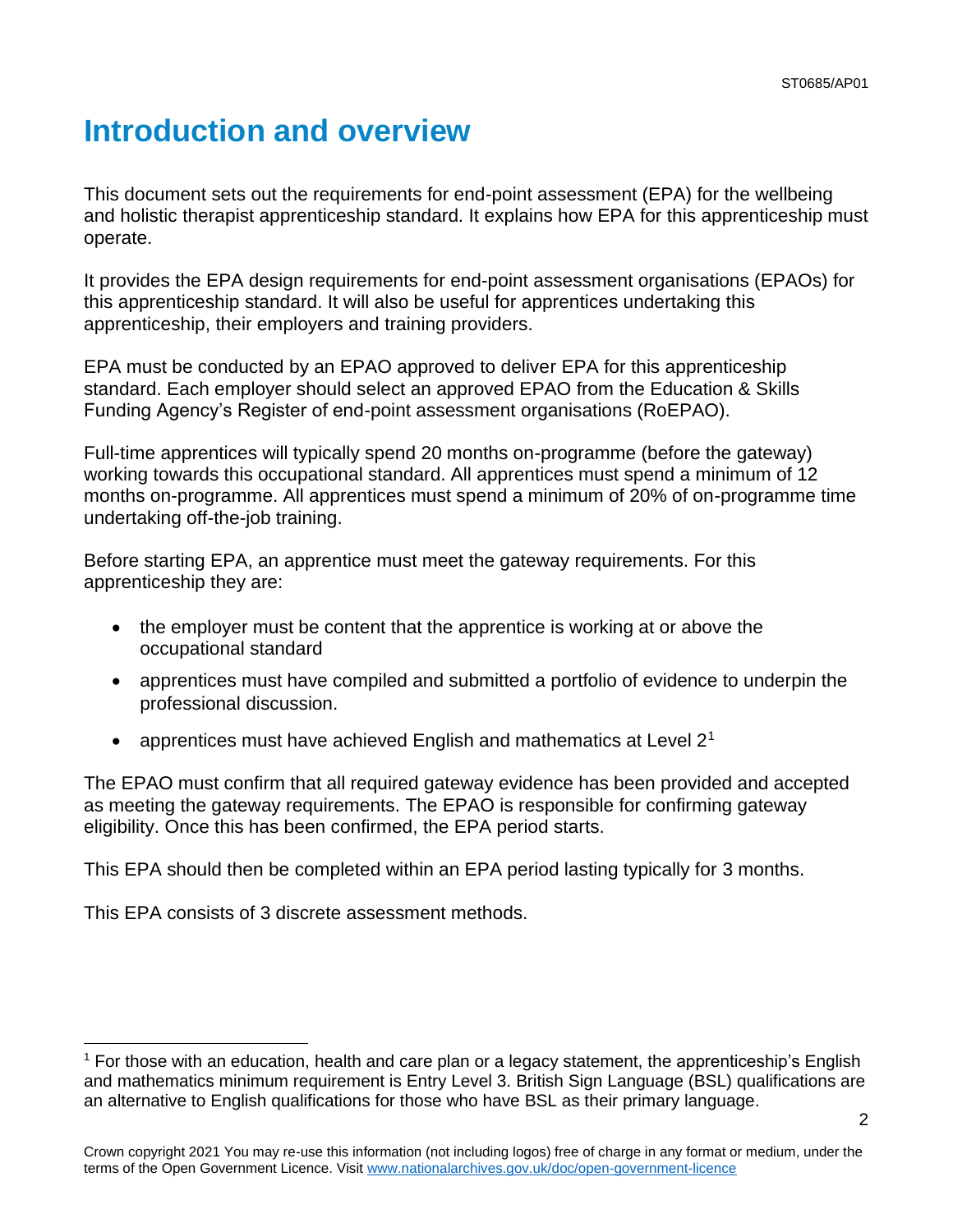# <span id="page-1-0"></span>**Introduction and overview**

This document sets out the requirements for end-point assessment (EPA) for the wellbeing and holistic therapist apprenticeship standard. It explains how EPA for this apprenticeship must operate.

It provides the EPA design requirements for end-point assessment organisations (EPAOs) for this apprenticeship standard. It will also be useful for apprentices undertaking this apprenticeship, their employers and training providers.

EPA must be conducted by an EPAO approved to deliver EPA for this apprenticeship standard. Each employer should select an approved EPAO from the Education & Skills Funding Agency's Register of end-point assessment organisations (RoEPAO).

Full-time apprentices will typically spend 20 months on-programme (before the gateway) working towards this occupational standard. All apprentices must spend a minimum of 12 months on-programme. All apprentices must spend a minimum of 20% of on-programme time undertaking off-the-job training.

Before starting EPA, an apprentice must meet the gateway requirements. For this apprenticeship they are:

- the employer must be content that the apprentice is working at or above the occupational standard
- apprentices must have compiled and submitted a portfolio of evidence to underpin the professional discussion.
- apprentices must have achieved English and mathematics at Level  $2<sup>1</sup>$

The EPAO must confirm that all required gateway evidence has been provided and accepted as meeting the gateway requirements. The EPAO is responsible for confirming gateway eligibility. Once this has been confirmed, the EPA period starts.

This EPA should then be completed within an EPA period lasting typically for 3 months.

This EPA consists of 3 discrete assessment methods.

<sup>&</sup>lt;sup>1</sup> For those with an education, health and care plan or a legacy statement, the apprenticeship's English and mathematics minimum requirement is Entry Level 3. British Sign Language (BSL) qualifications are an alternative to English qualifications for those who have BSL as their primary language.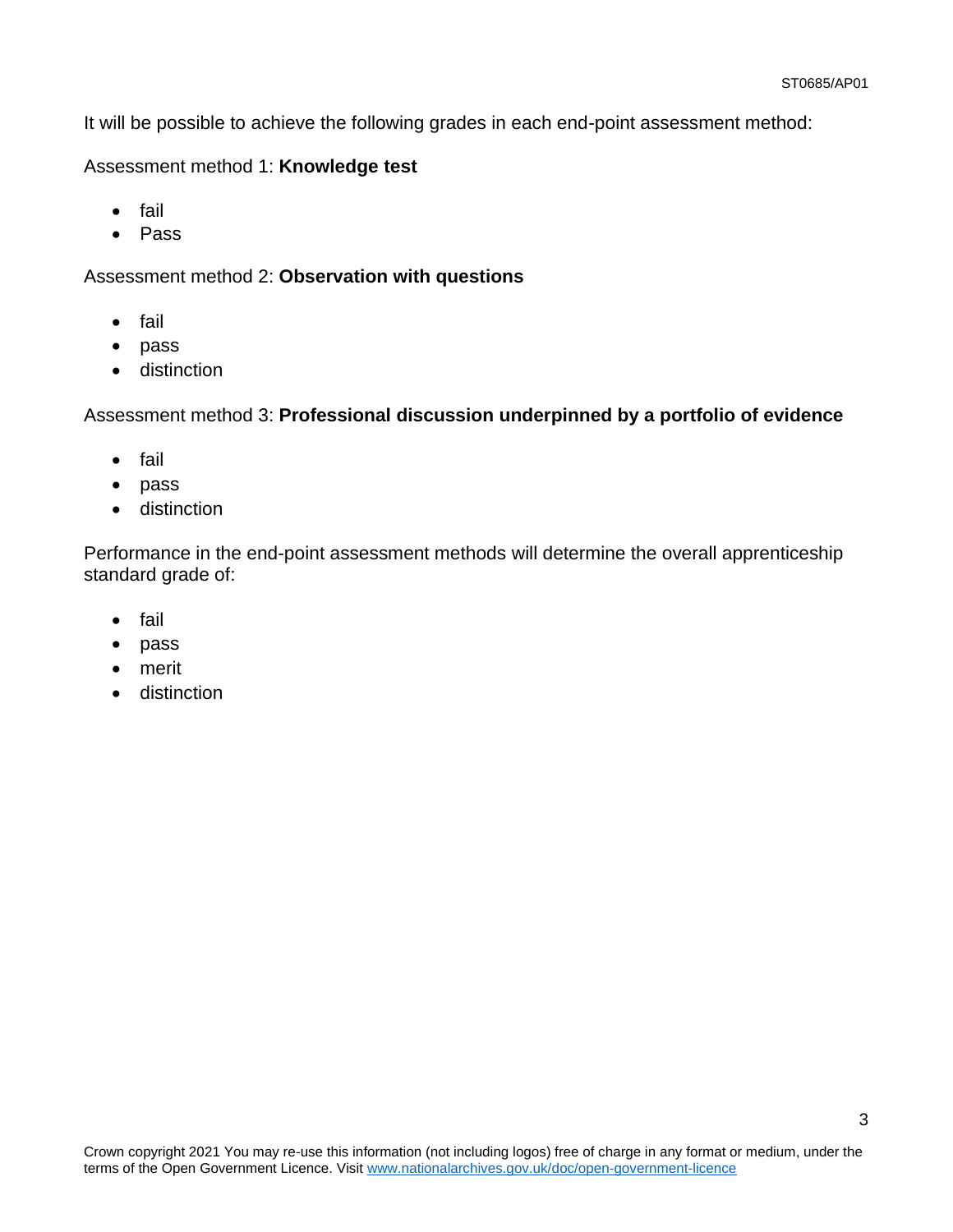It will be possible to achieve the following grades in each end-point assessment method:

### Assessment method 1: **Knowledge test**

- fail
- Pass

### Assessment method 2: **Observation with questions**

- fail
- pass
- distinction

Assessment method 3: **Professional discussion underpinned by a portfolio of evidence**

- fail
- pass
- distinction

Performance in the end-point assessment methods will determine the overall apprenticeship standard grade of:

- fail
- pass
- merit
- distinction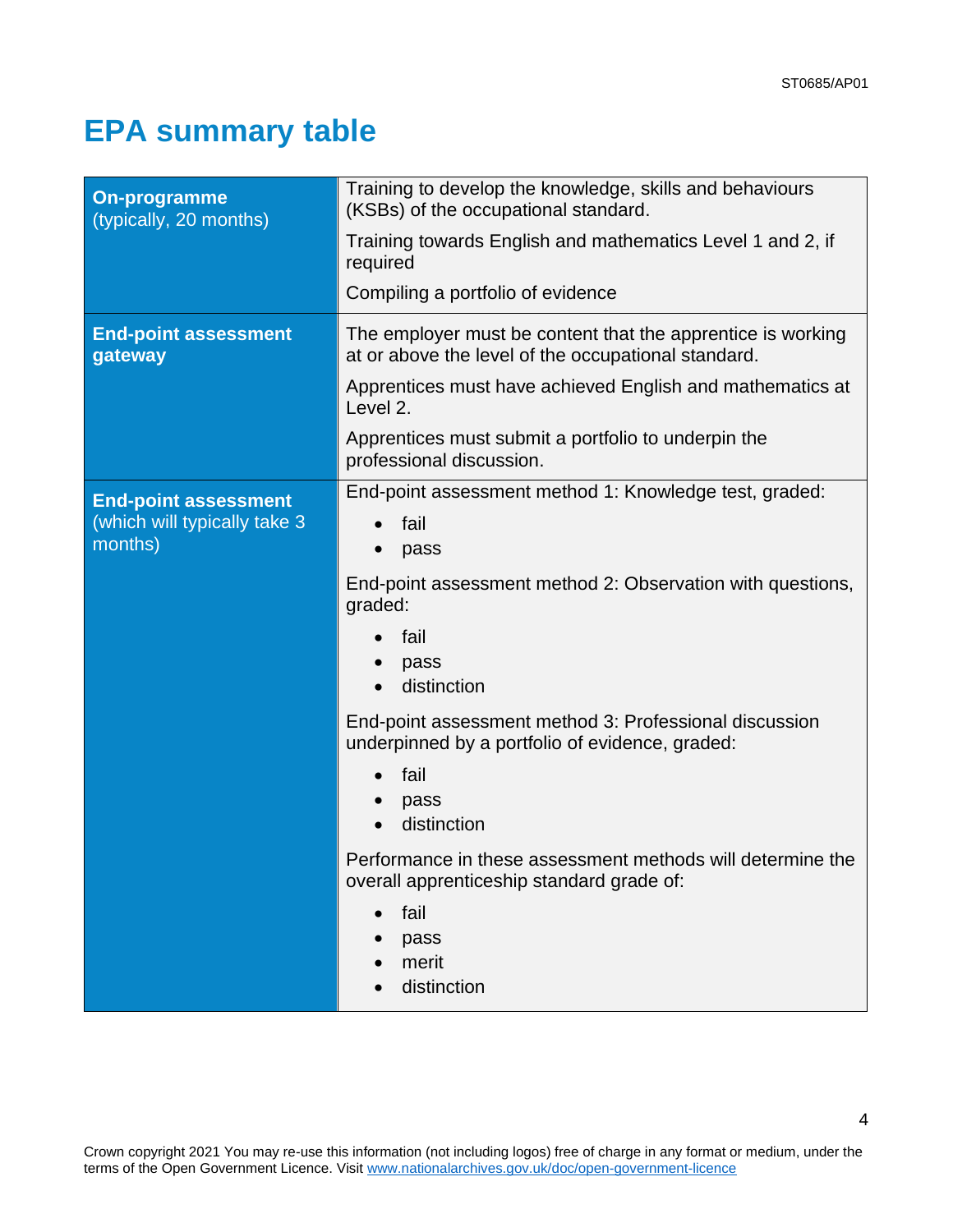4

# <span id="page-3-0"></span>**EPA summary table**

| <b>On-programme</b><br>(typically, 20 months)                           | Training to develop the knowledge, skills and behaviours<br>(KSBs) of the occupational standard.<br>Training towards English and mathematics Level 1 and 2, if<br>required<br>Compiling a portfolio of evidence                                                                                                                                                                                                                                                                                         |
|-------------------------------------------------------------------------|---------------------------------------------------------------------------------------------------------------------------------------------------------------------------------------------------------------------------------------------------------------------------------------------------------------------------------------------------------------------------------------------------------------------------------------------------------------------------------------------------------|
| <b>End-point assessment</b><br>gateway                                  | The employer must be content that the apprentice is working<br>at or above the level of the occupational standard.<br>Apprentices must have achieved English and mathematics at<br>Level 2.<br>Apprentices must submit a portfolio to underpin the<br>professional discussion.                                                                                                                                                                                                                          |
| <b>End-point assessment</b><br>(which will typically take 3)<br>months) | End-point assessment method 1: Knowledge test, graded:<br>fail<br>pass<br>End-point assessment method 2: Observation with questions,<br>graded:<br>fail<br>pass<br>distinction<br>End-point assessment method 3: Professional discussion<br>underpinned by a portfolio of evidence, graded:<br>fail<br>$\bullet$<br>pass<br>distinction<br>$\bullet$<br>Performance in these assessment methods will determine the<br>overall apprenticeship standard grade of:<br>fail<br>pass<br>merit<br>distinction |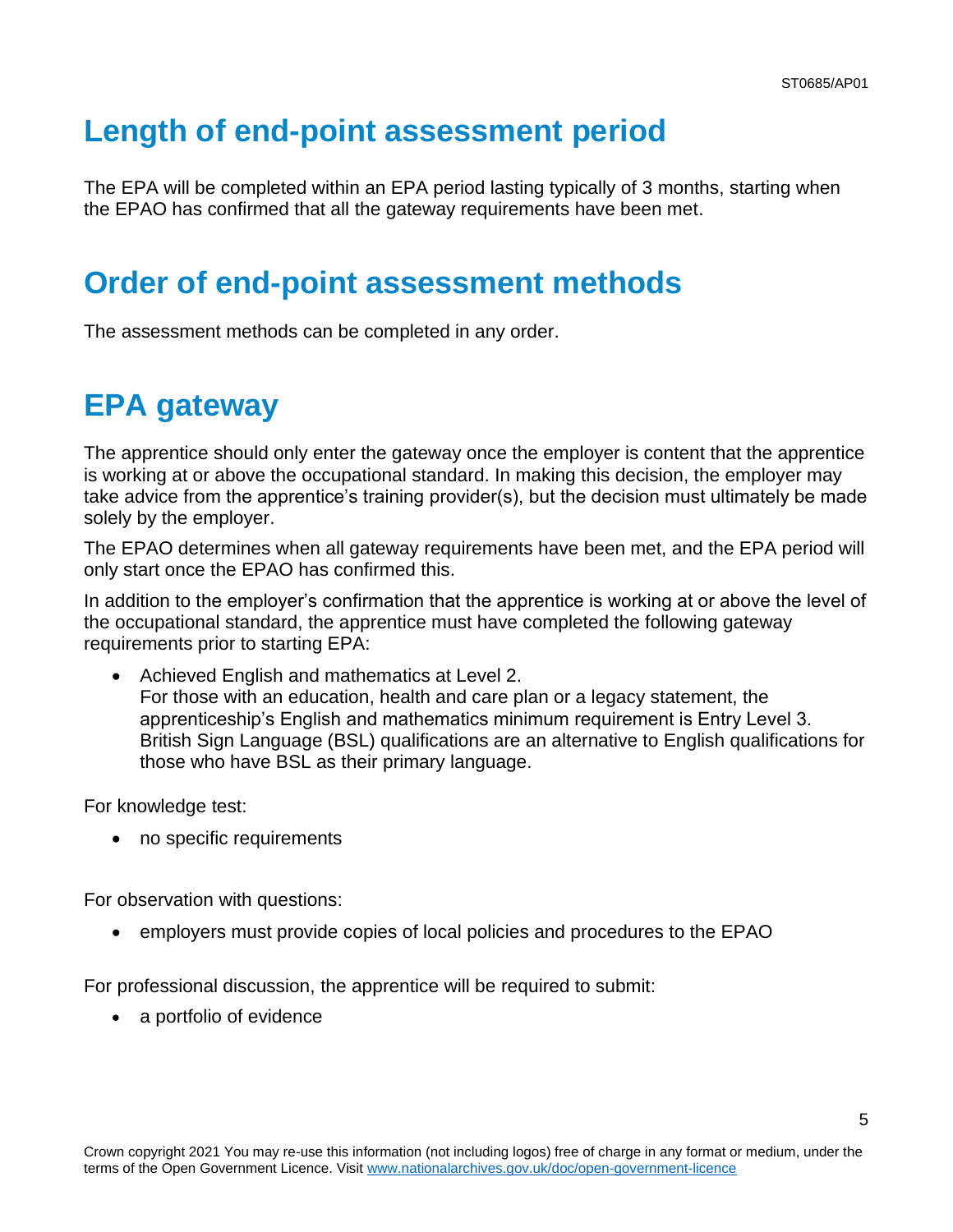# <span id="page-4-0"></span>**Length of end-point assessment period**

The EPA will be completed within an EPA period lasting typically of 3 months, starting when the EPAO has confirmed that all the gateway requirements have been met.

## <span id="page-4-1"></span>**Order of end-point assessment methods**

<span id="page-4-2"></span>The assessment methods can be completed in any order.

## **EPA gateway**

The apprentice should only enter the gateway once the employer is content that the apprentice is working at or above the occupational standard. In making this decision, the employer may take advice from the apprentice's training provider(s), but the decision must ultimately be made solely by the employer.

The EPAO determines when all gateway requirements have been met, and the EPA period will only start once the EPAO has confirmed this.

In addition to the employer's confirmation that the apprentice is working at or above the level of the occupational standard, the apprentice must have completed the following gateway requirements prior to starting EPA:

• Achieved English and mathematics at Level 2. For those with an education, health and care plan or a legacy statement, the apprenticeship's English and mathematics minimum requirement is Entry Level 3. British Sign Language (BSL) qualifications are an alternative to English qualifications for those who have BSL as their primary language.

For knowledge test:

• no specific requirements

For observation with questions:

• employers must provide copies of local policies and procedures to the EPAO

For professional discussion, the apprentice will be required to submit:

• a portfolio of evidence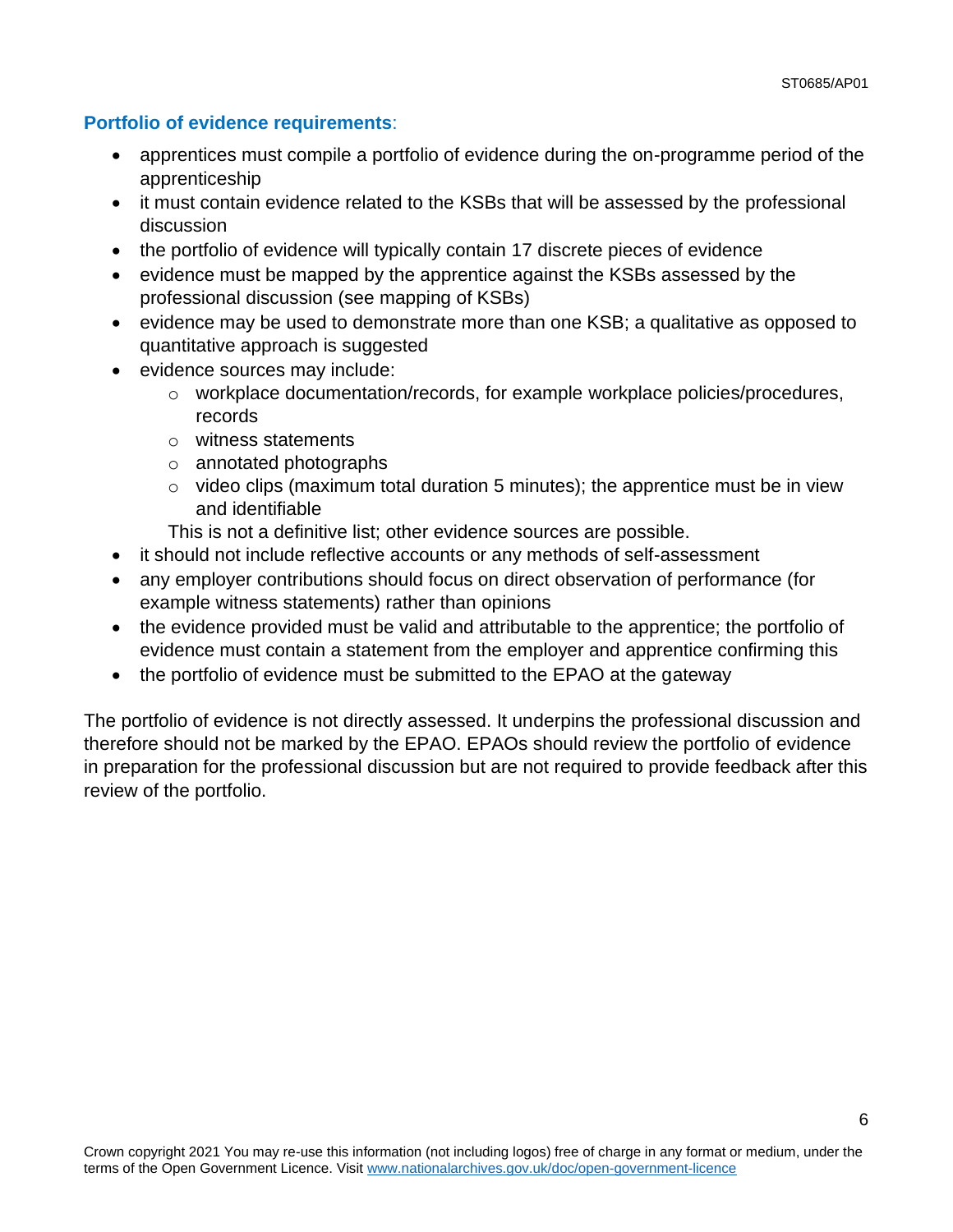### **Portfolio of evidence requirements**:

- apprentices must compile a portfolio of evidence during the on-programme period of the apprenticeship
- it must contain evidence related to the KSBs that will be assessed by the professional discussion
- the portfolio of evidence will typically contain 17 discrete pieces of evidence
- evidence must be mapped by the apprentice against the KSBs assessed by the professional discussion (see mapping of KSBs)
- evidence may be used to demonstrate more than one KSB; a qualitative as opposed to quantitative approach is suggested
- evidence sources may include:
	- o workplace documentation/records, for example workplace policies/procedures, records
	- o witness statements
	- o annotated photographs
	- $\circ$  video clips (maximum total duration 5 minutes); the apprentice must be in view and identifiable
	- This is not a definitive list; other evidence sources are possible.
- it should not include reflective accounts or any methods of self-assessment
- any employer contributions should focus on direct observation of performance (for example witness statements) rather than opinions
- the evidence provided must be valid and attributable to the apprentice; the portfolio of evidence must contain a statement from the employer and apprentice confirming this
- the portfolio of evidence must be submitted to the EPAO at the gateway

The portfolio of evidence is not directly assessed. It underpins the professional discussion and therefore should not be marked by the EPAO. EPAOs should review the portfolio of evidence in preparation for the professional discussion but are not required to provide feedback after this review of the portfolio.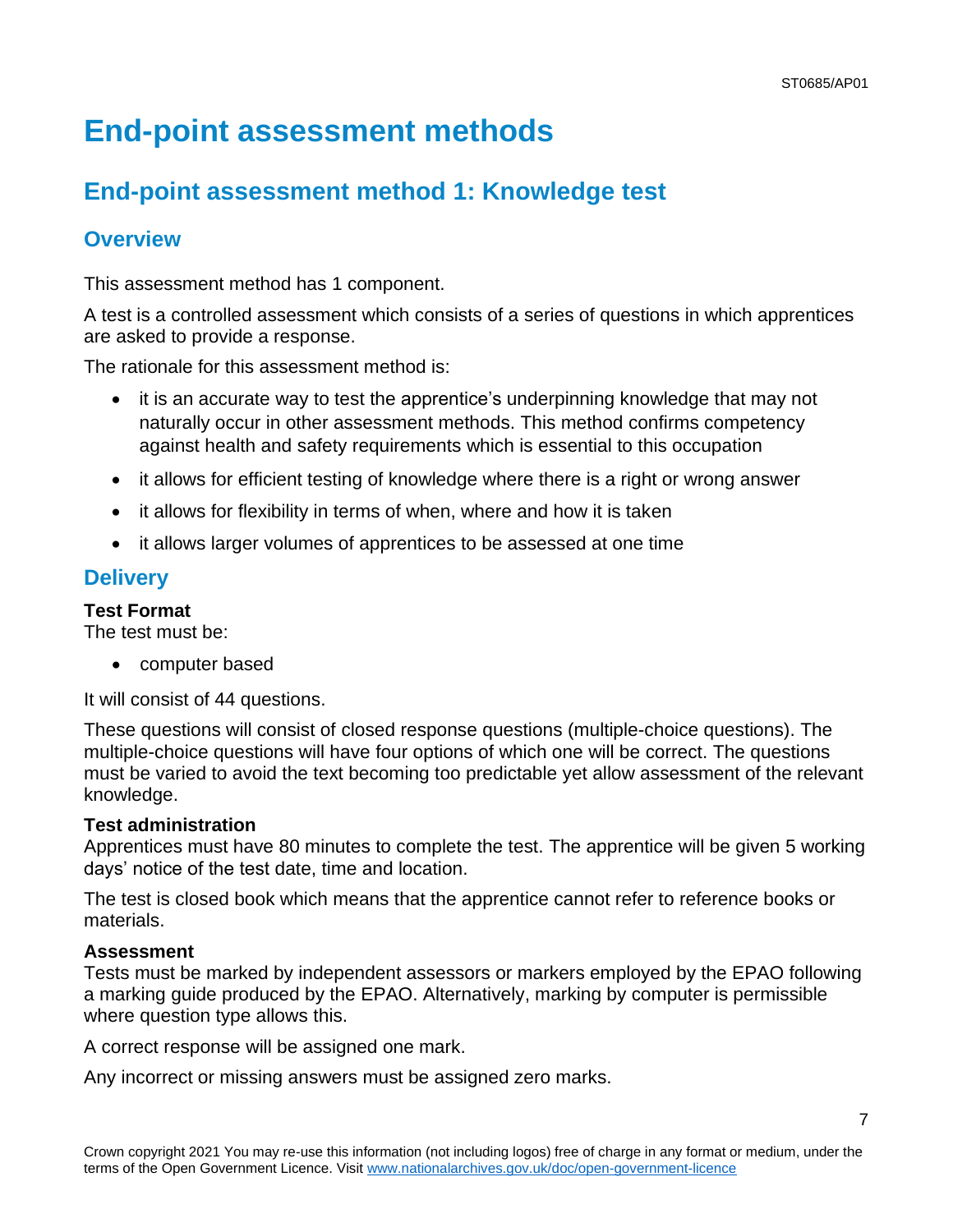# <span id="page-6-0"></span>**End-point assessment methods**

## **End-point assessment method 1: Knowledge test**

### **Overview**

This assessment method has 1 component.

A test is a controlled assessment which consists of a series of questions in which apprentices are asked to provide a response.

The rationale for this assessment method is:

- it is an accurate way to test the apprentice's underpinning knowledge that may not naturally occur in other assessment methods. This method confirms competency against health and safety requirements which is essential to this occupation
- it allows for efficient testing of knowledge where there is a right or wrong answer
- it allows for flexibility in terms of when, where and how it is taken
- it allows larger volumes of apprentices to be assessed at one time

### **Delivery**

### **Test Format**

The test must be:

• computer based

It will consist of 44 questions.

These questions will consist of closed response questions (multiple-choice questions). The multiple-choice questions will have four options of which one will be correct. The questions must be varied to avoid the text becoming too predictable yet allow assessment of the relevant knowledge.

#### **Test administration**

Apprentices must have 80 minutes to complete the test. The apprentice will be given 5 working days' notice of the test date, time and location.

The test is closed book which means that the apprentice cannot refer to reference books or materials.

#### **Assessment**

Tests must be marked by independent assessors or markers employed by the EPAO following a marking guide produced by the EPAO. Alternatively, marking by computer is permissible where question type allows this.

A correct response will be assigned one mark.

Any incorrect or missing answers must be assigned zero marks.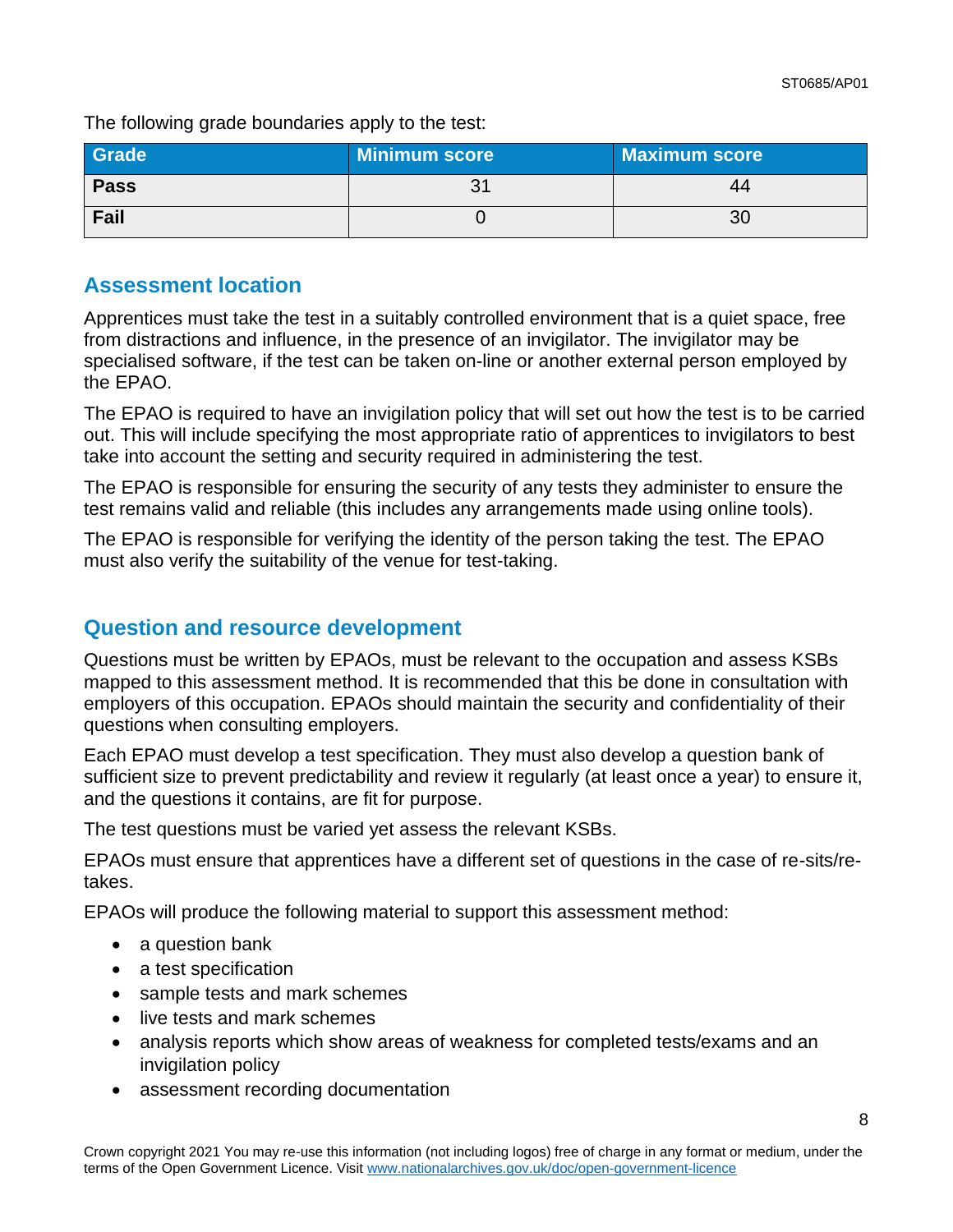The following grade boundaries apply to the test:

| Grade       | <b>Minimum score</b> | Maximum score |
|-------------|----------------------|---------------|
| <b>Pass</b> |                      | 44            |
| Fail        |                      | 30            |

### **Assessment location**

Apprentices must take the test in a suitably controlled environment that is a quiet space, free from distractions and influence, in the presence of an invigilator. The invigilator may be specialised software, if the test can be taken on-line or another external person employed by the EPAO.

The EPAO is required to have an invigilation policy that will set out how the test is to be carried out. This will include specifying the most appropriate ratio of apprentices to invigilators to best take into account the setting and security required in administering the test.

The EPAO is responsible for ensuring the security of any tests they administer to ensure the test remains valid and reliable (this includes any arrangements made using online tools).

The EPAO is responsible for verifying the identity of the person taking the test. The EPAO must also verify the suitability of the venue for test-taking.

### **Question and resource development**

Questions must be written by EPAOs, must be relevant to the occupation and assess KSBs mapped to this assessment method. It is recommended that this be done in consultation with employers of this occupation. EPAOs should maintain the security and confidentiality of their questions when consulting employers.

Each EPAO must develop a test specification. They must also develop a question bank of sufficient size to prevent predictability and review it regularly (at least once a year) to ensure it, and the questions it contains, are fit for purpose.

The test questions must be varied yet assess the relevant KSBs.

EPAOs must ensure that apprentices have a different set of questions in the case of re-sits/retakes.

EPAOs will produce the following material to support this assessment method:

- a question bank
- a test specification
- sample tests and mark schemes
- live tests and mark schemes
- analysis reports which show areas of weakness for completed tests/exams and an invigilation policy
- assessment recording documentation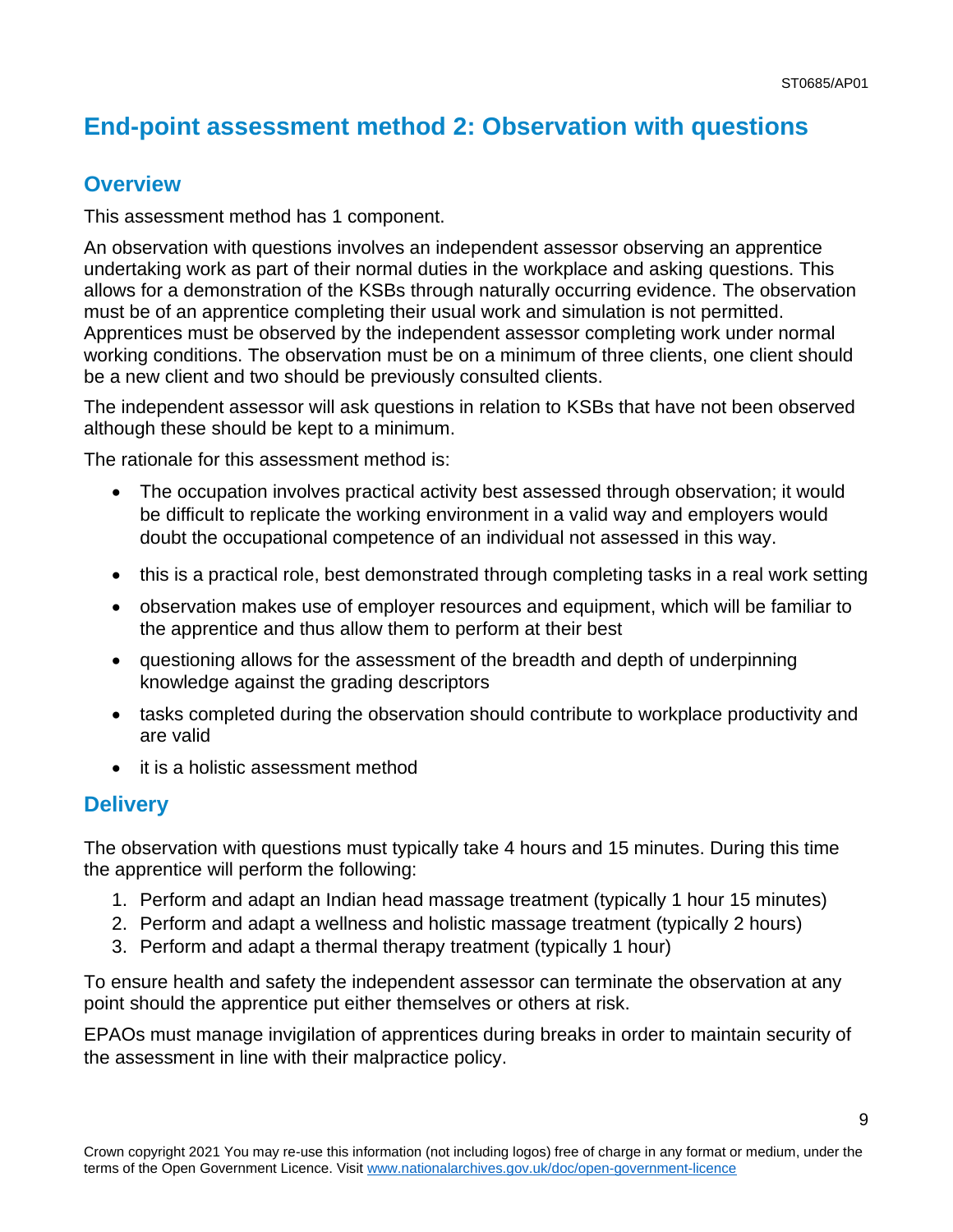## **End-point assessment method 2: Observation with questions**

### **Overview**

This assessment method has 1 component.

An observation with questions involves an independent assessor observing an apprentice undertaking work as part of their normal duties in the workplace and asking questions. This allows for a demonstration of the KSBs through naturally occurring evidence. The observation must be of an apprentice completing their usual work and simulation is not permitted. Apprentices must be observed by the independent assessor completing work under normal working conditions. The observation must be on a minimum of three clients, one client should be a new client and two should be previously consulted clients.

The independent assessor will ask questions in relation to KSBs that have not been observed although these should be kept to a minimum.

The rationale for this assessment method is:

- The occupation involves practical activity best assessed through observation; it would be difficult to replicate the working environment in a valid way and employers would doubt the occupational competence of an individual not assessed in this way.
- this is a practical role, best demonstrated through completing tasks in a real work setting
- observation makes use of employer resources and equipment, which will be familiar to the apprentice and thus allow them to perform at their best
- questioning allows for the assessment of the breadth and depth of underpinning knowledge against the grading descriptors
- tasks completed during the observation should contribute to workplace productivity and are valid
- it is a holistic assessment method

### **Delivery**

The observation with questions must typically take 4 hours and 15 minutes. During this time the apprentice will perform the following:

- 1. Perform and adapt an Indian head massage treatment (typically 1 hour 15 minutes)
- 2. Perform and adapt a wellness and holistic massage treatment (typically 2 hours)
- 3. Perform and adapt a thermal therapy treatment (typically 1 hour)

To ensure health and safety the independent assessor can terminate the observation at any point should the apprentice put either themselves or others at risk.

EPAOs must manage invigilation of apprentices during breaks in order to maintain security of the assessment in line with their malpractice policy.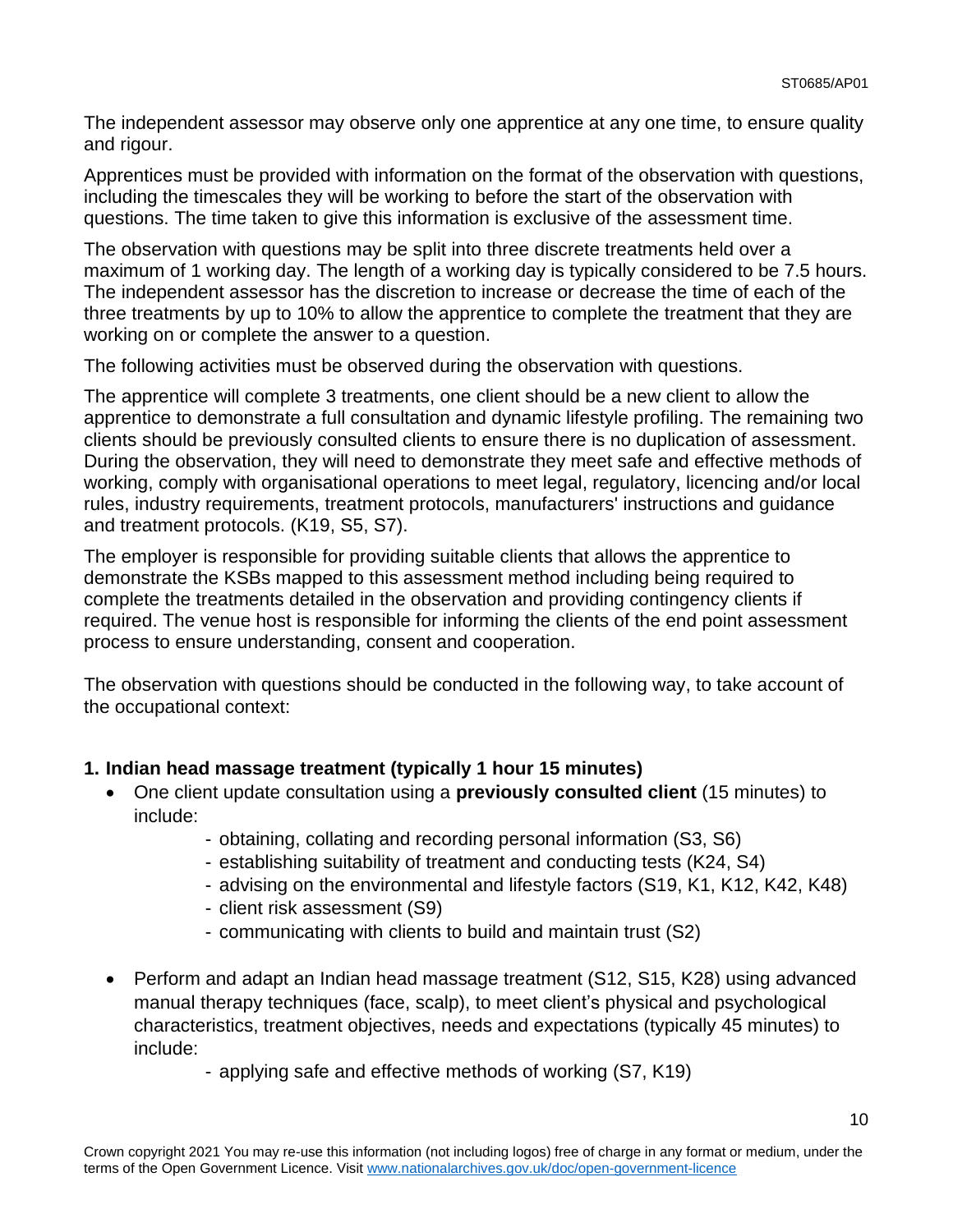The independent assessor may observe only one apprentice at any one time, to ensure quality and rigour.

Apprentices must be provided with information on the format of the observation with questions, including the timescales they will be working to before the start of the observation with questions. The time taken to give this information is exclusive of the assessment time.

The observation with questions may be split into three discrete treatments held over a maximum of 1 working day. The length of a working day is typically considered to be 7.5 hours. The independent assessor has the discretion to increase or decrease the time of each of the three treatments by up to 10% to allow the apprentice to complete the treatment that they are working on or complete the answer to a question.

The following activities must be observed during the observation with questions.

The apprentice will complete 3 treatments, one client should be a new client to allow the apprentice to demonstrate a full consultation and dynamic lifestyle profiling. The remaining two clients should be previously consulted clients to ensure there is no duplication of assessment. During the observation, they will need to demonstrate they meet safe and effective methods of working, comply with organisational operations to meet legal, regulatory, licencing and/or local rules, industry requirements, treatment protocols, manufacturers' instructions and guidance and treatment protocols. (K19, S5, S7).

The employer is responsible for providing suitable clients that allows the apprentice to demonstrate the KSBs mapped to this assessment method including being required to complete the treatments detailed in the observation and providing contingency clients if required. The venue host is responsible for informing the clients of the end point assessment process to ensure understanding, consent and cooperation.

The observation with questions should be conducted in the following way, to take account of the occupational context:

### **1. Indian head massage treatment (typically 1 hour 15 minutes)**

- One client update consultation using a **previously consulted client** (15 minutes) to include:
	- obtaining, collating and recording personal information (S3, S6)
	- establishing suitability of treatment and conducting tests (K24, S4)
	- advising on the environmental and lifestyle factors (S19, K1, K12, K42, K48)
	- client risk assessment (S9)
	- communicating with clients to build and maintain trust (S2)
- Perform and adapt an Indian head massage treatment (S12, S15, K28) using advanced manual therapy techniques (face, scalp), to meet client's physical and psychological characteristics, treatment objectives, needs and expectations (typically 45 minutes) to include:
	- applying safe and effective methods of working (S7, K19)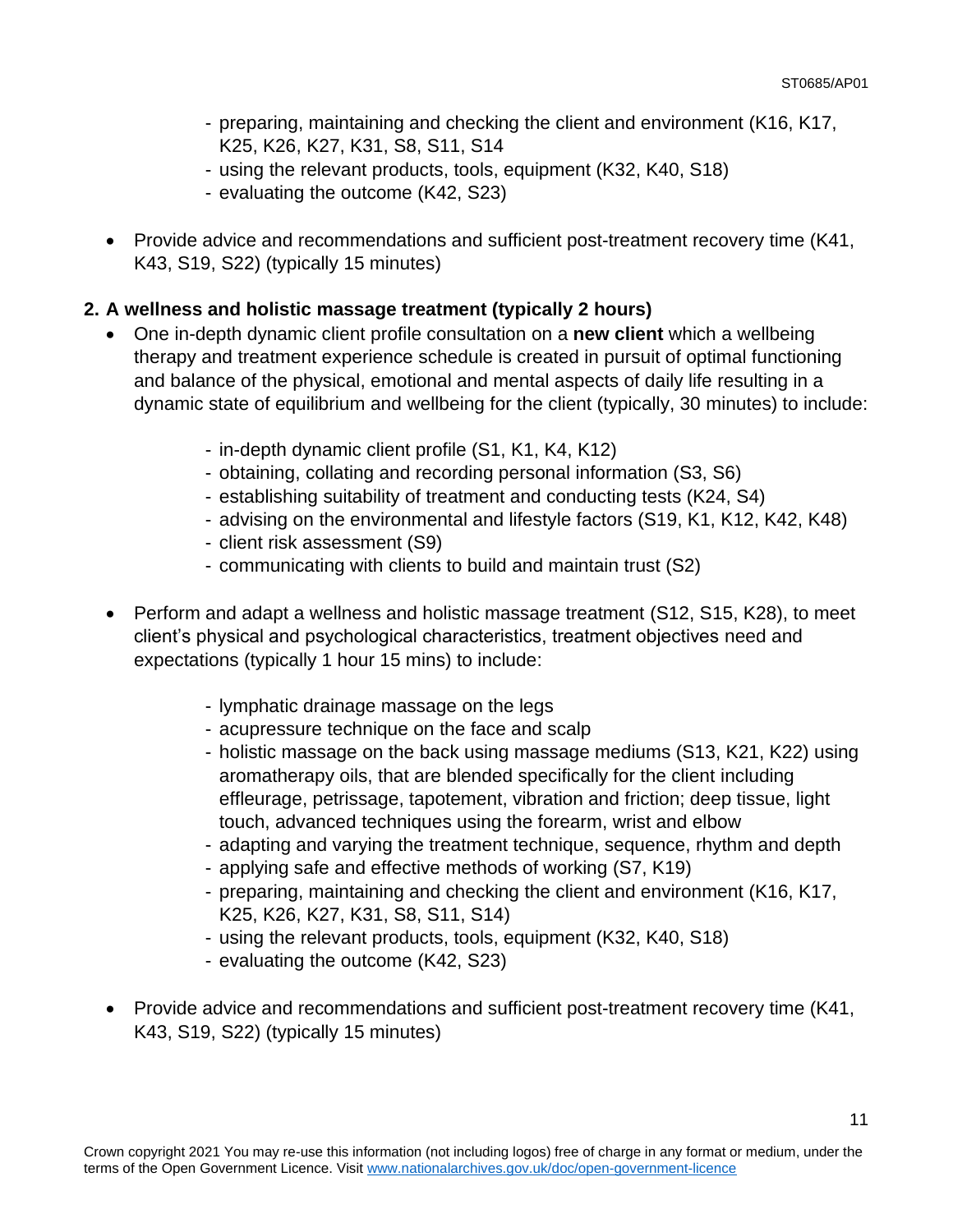- preparing, maintaining and checking the client and environment (K16, K17, K25, K26, K27, K31, S8, S11, S14
- using the relevant products, tools, equipment (K32, K40, S18)
- evaluating the outcome (K42, S23)
- Provide advice and recommendations and sufficient post-treatment recovery time (K41, K43, S19, S22) (typically 15 minutes)

### **2. A wellness and holistic massage treatment (typically 2 hours)**

- One in-depth dynamic client profile consultation on a **new client** which a wellbeing therapy and treatment experience schedule is created in pursuit of optimal functioning and balance of the physical, emotional and mental aspects of daily life resulting in a dynamic state of equilibrium and wellbeing for the client (typically, 30 minutes) to include:
	- in-depth dynamic client profile (S1, K1, K4, K12)
	- obtaining, collating and recording personal information (S3, S6)
	- establishing suitability of treatment and conducting tests (K24, S4)
	- advising on the environmental and lifestyle factors (S19, K1, K12, K42, K48)
	- client risk assessment (S9)
	- communicating with clients to build and maintain trust (S2)
- Perform and adapt a wellness and holistic massage treatment (S12, S15, K28), to meet client's physical and psychological characteristics, treatment objectives need and expectations (typically 1 hour 15 mins) to include:
	- lymphatic drainage massage on the legs
	- acupressure technique on the face and scalp
	- holistic massage on the back using massage mediums (S13, K21, K22) using aromatherapy oils, that are blended specifically for the client including effleurage, petrissage, tapotement, vibration and friction; deep tissue, light touch, advanced techniques using the forearm, wrist and elbow
	- adapting and varying the treatment technique, sequence, rhythm and depth
	- applying safe and effective methods of working (S7, K19)
	- preparing, maintaining and checking the client and environment (K16, K17, K25, K26, K27, K31, S8, S11, S14)
	- using the relevant products, tools, equipment (K32, K40, S18)
	- evaluating the outcome (K42, S23)
- Provide advice and recommendations and sufficient post-treatment recovery time (K41, K43, S19, S22) (typically 15 minutes)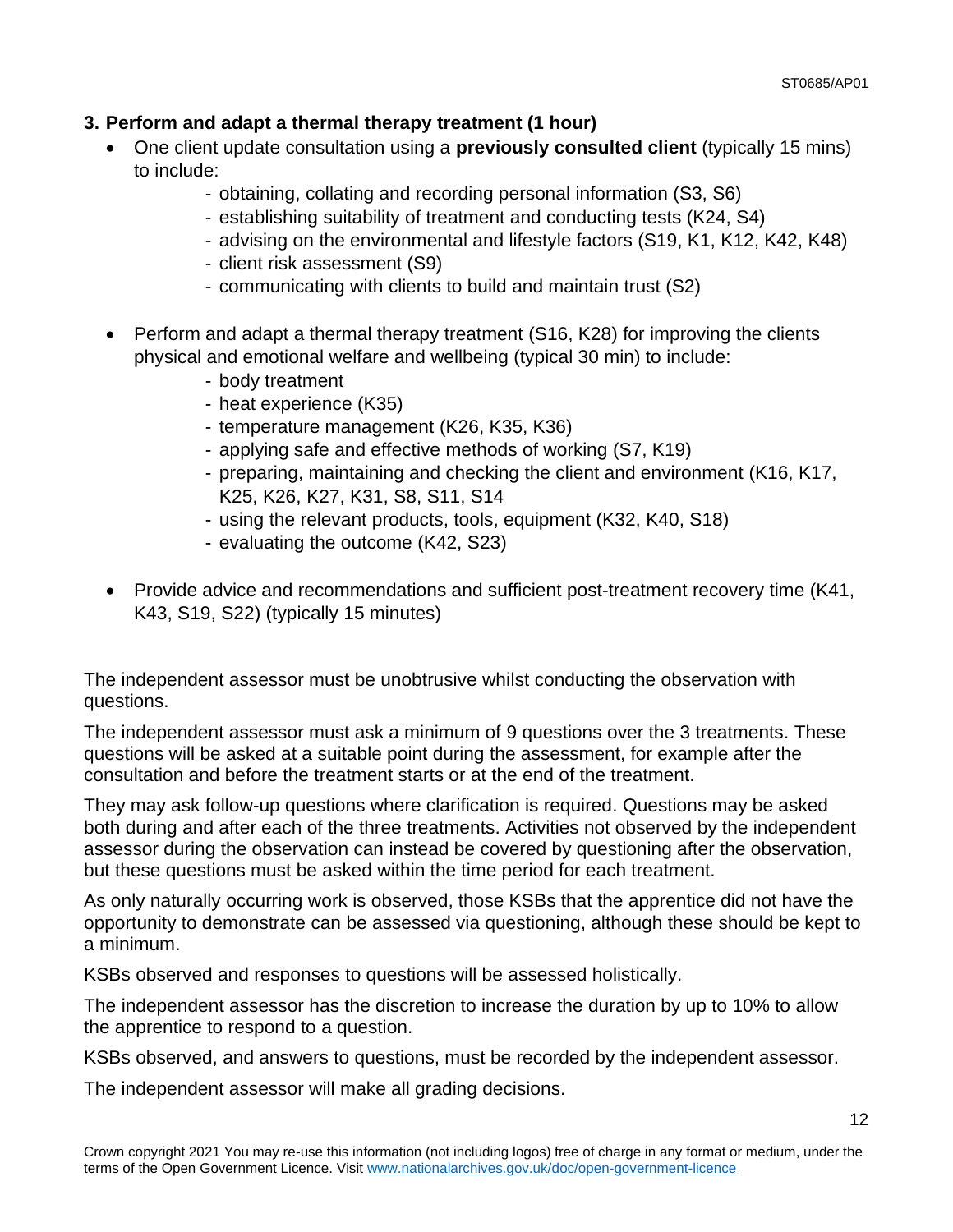### **3. Perform and adapt a thermal therapy treatment (1 hour)**

- One client update consultation using a **previously consulted client** (typically 15 mins) to include:
	- obtaining, collating and recording personal information (S3, S6)
	- establishing suitability of treatment and conducting tests (K24, S4)
	- advising on the environmental and lifestyle factors (S19, K1, K12, K42, K48)
	- client risk assessment (S9)
	- communicating with clients to build and maintain trust (S2)
- Perform and adapt a thermal therapy treatment (S16, K28) for improving the clients physical and emotional welfare and wellbeing (typical 30 min) to include:
	- body treatment
	- heat experience (K35)
	- temperature management (K26, K35, K36)
	- applying safe and effective methods of working (S7, K19)
	- preparing, maintaining and checking the client and environment (K16, K17, K25, K26, K27, K31, S8, S11, S14
	- using the relevant products, tools, equipment (K32, K40, S18)
	- evaluating the outcome (K42, S23)
- Provide advice and recommendations and sufficient post-treatment recovery time (K41, K43, S19, S22) (typically 15 minutes)

The independent assessor must be unobtrusive whilst conducting the observation with questions.

The independent assessor must ask a minimum of 9 questions over the 3 treatments. These questions will be asked at a suitable point during the assessment, for example after the consultation and before the treatment starts or at the end of the treatment.

They may ask follow-up questions where clarification is required. Questions may be asked both during and after each of the three treatments. Activities not observed by the independent assessor during the observation can instead be covered by questioning after the observation, but these questions must be asked within the time period for each treatment.

As only naturally occurring work is observed, those KSBs that the apprentice did not have the opportunity to demonstrate can be assessed via questioning, although these should be kept to a minimum.

KSBs observed and responses to questions will be assessed holistically.

The independent assessor has the discretion to increase the duration by up to 10% to allow the apprentice to respond to a question.

KSBs observed, and answers to questions, must be recorded by the independent assessor.

The independent assessor will make all grading decisions.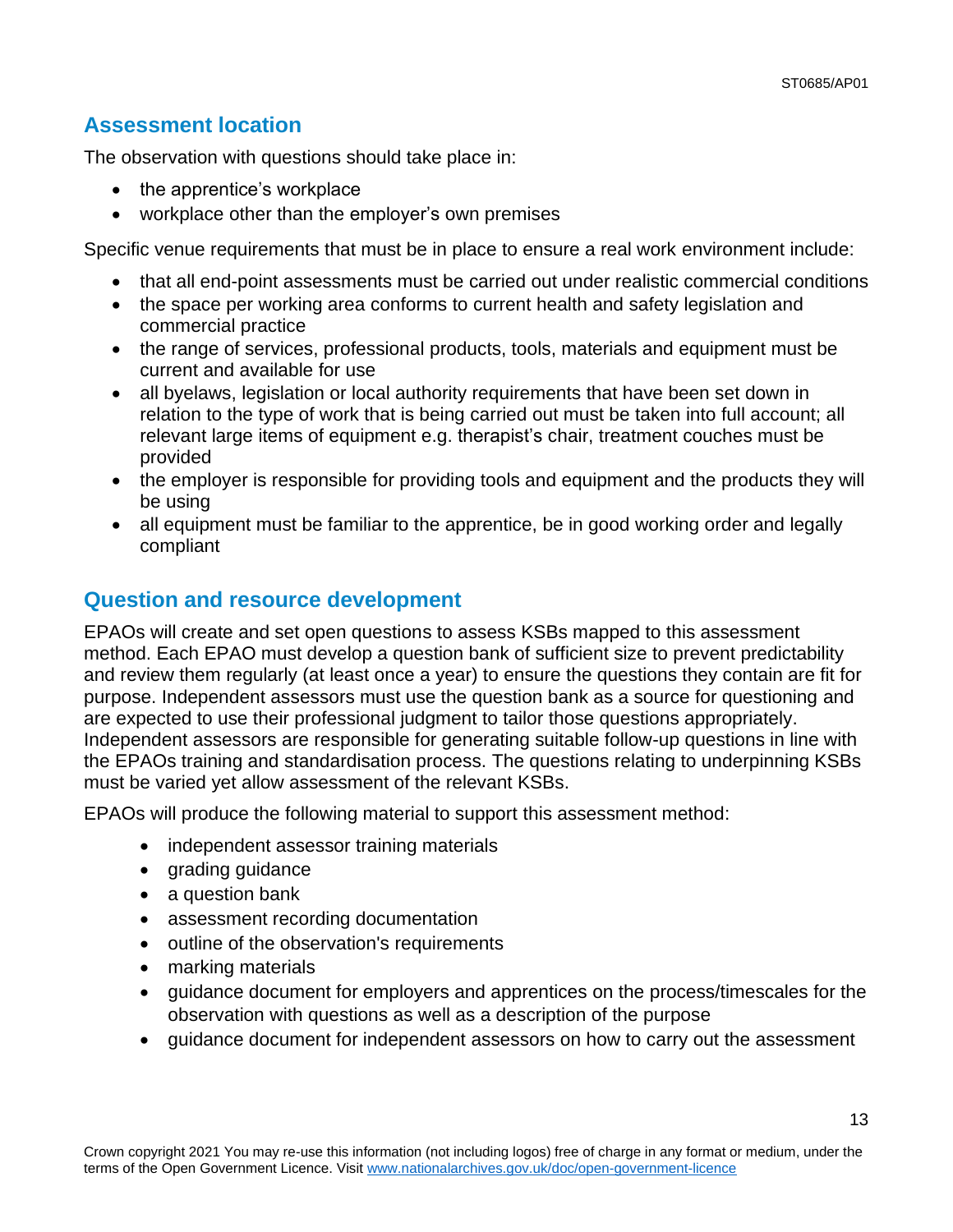### **Assessment location**

The observation with questions should take place in:

- the apprentice's workplace
- workplace other than the employer's own premises

Specific venue requirements that must be in place to ensure a real work environment include:

- that all end-point assessments must be carried out under realistic commercial conditions
- the space per working area conforms to current health and safety legislation and commercial practice
- the range of services, professional products, tools, materials and equipment must be current and available for use
- all byelaws, legislation or local authority requirements that have been set down in relation to the type of work that is being carried out must be taken into full account; all relevant large items of equipment e.g. therapist's chair, treatment couches must be provided
- the employer is responsible for providing tools and equipment and the products they will be using
- all equipment must be familiar to the apprentice, be in good working order and legally compliant

### **Question and resource development**

EPAOs will create and set open questions to assess KSBs mapped to this assessment method. Each EPAO must develop a question bank of sufficient size to prevent predictability and review them regularly (at least once a year) to ensure the questions they contain are fit for purpose. Independent assessors must use the question bank as a source for questioning and are expected to use their professional judgment to tailor those questions appropriately. Independent assessors are responsible for generating suitable follow-up questions in line with the EPAOs training and standardisation process. The questions relating to underpinning KSBs must be varied yet allow assessment of the relevant KSBs.

EPAOs will produce the following material to support this assessment method:

- independent assessor training materials
- grading guidance
- a question bank
- assessment recording documentation
- outline of the observation's requirements
- marking materials
- guidance document for employers and apprentices on the process/timescales for the observation with questions as well as a description of the purpose
- guidance document for independent assessors on how to carry out the assessment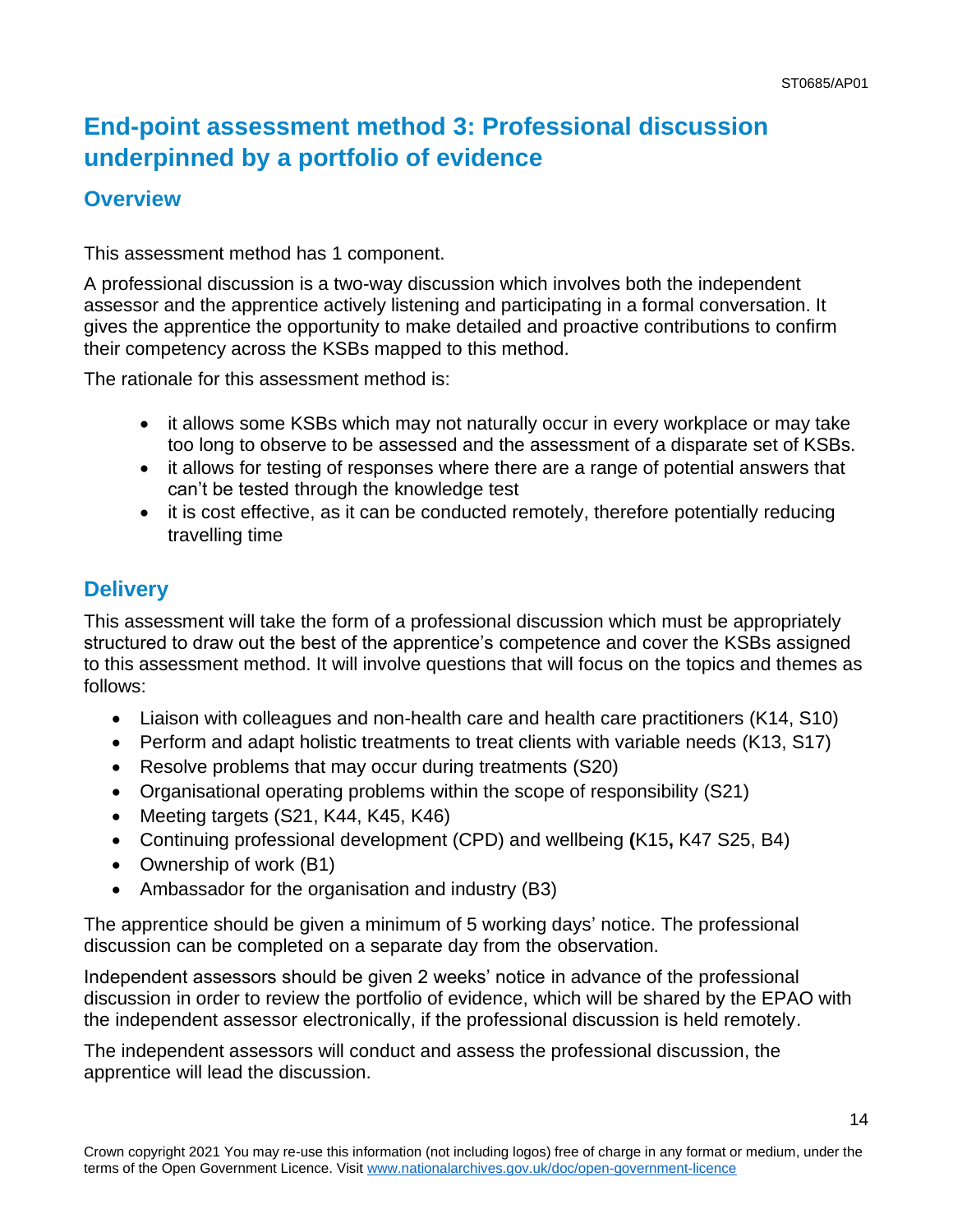## **End-point assessment method 3: Professional discussion underpinned by a portfolio of evidence**

## **Overview**

This assessment method has 1 component.

A professional discussion is a two-way discussion which involves both the independent assessor and the apprentice actively listening and participating in a formal conversation. It gives the apprentice the opportunity to make detailed and proactive contributions to confirm their competency across the KSBs mapped to this method.

The rationale for this assessment method is:

- it allows some KSBs which may not naturally occur in every workplace or may take too long to observe to be assessed and the assessment of a disparate set of KSBs.
- it allows for testing of responses where there are a range of potential answers that can't be tested through the knowledge test
- it is cost effective, as it can be conducted remotely, therefore potentially reducing travelling time

## **Delivery**

This assessment will take the form of a professional discussion which must be appropriately structured to draw out the best of the apprentice's competence and cover the KSBs assigned to this assessment method. It will involve questions that will focus on the topics and themes as follows:

- Liaison with colleagues and non-health care and health care practitioners (K14, S10)
- Perform and adapt holistic treatments to treat clients with variable needs (K13, S17)
- Resolve problems that may occur during treatments (S20)
- Organisational operating problems within the scope of responsibility (S21)
- Meeting targets (S21, K44, K45, K46)
- Continuing professional development (CPD) and wellbeing **(**K15**,** K47 S25, B4)
- Ownership of work (B1)
- Ambassador for the organisation and industry (B3)

The apprentice should be given a minimum of 5 working days' notice. The professional discussion can be completed on a separate day from the observation.

Independent assessors should be given 2 weeks' notice in advance of the professional discussion in order to review the portfolio of evidence, which will be shared by the EPAO with the independent assessor electronically, if the professional discussion is held remotely.

The independent assessors will conduct and assess the professional discussion, the apprentice will lead the discussion.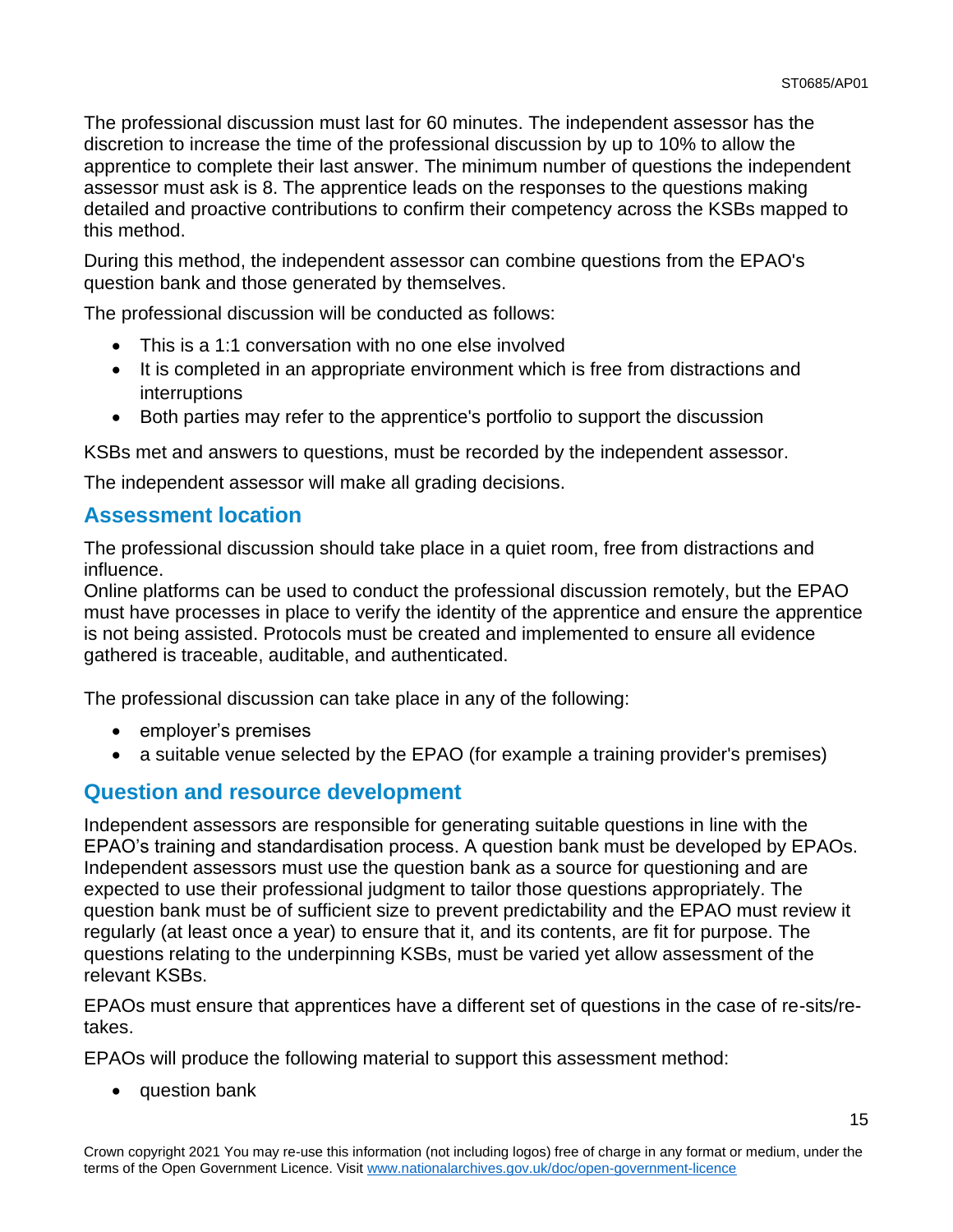15

The professional discussion must last for 60 minutes. The independent assessor has the discretion to increase the time of the professional discussion by up to 10% to allow the apprentice to complete their last answer. The minimum number of questions the independent assessor must ask is 8. The apprentice leads on the responses to the questions making detailed and proactive contributions to confirm their competency across the KSBs mapped to this method.

During this method, the independent assessor can combine questions from the EPAO's question bank and those generated by themselves.

The professional discussion will be conducted as follows:

- This is a 1:1 conversation with no one else involved
- It is completed in an appropriate environment which is free from distractions and interruptions
- Both parties may refer to the apprentice's portfolio to support the discussion

KSBs met and answers to questions, must be recorded by the independent assessor.

The independent assessor will make all grading decisions.

### **Assessment location**

The professional discussion should take place in a quiet room, free from distractions and influence.

Online platforms can be used to conduct the professional discussion remotely, but the EPAO must have processes in place to verify the identity of the apprentice and ensure the apprentice is not being assisted. Protocols must be created and implemented to ensure all evidence gathered is traceable, auditable, and authenticated.

The professional discussion can take place in any of the following:

- employer's premises
- a suitable venue selected by the EPAO (for example a training provider's premises)

### **Question and resource development**

Independent assessors are responsible for generating suitable questions in line with the EPAO's training and standardisation process. A question bank must be developed by EPAOs. Independent assessors must use the question bank as a source for questioning and are expected to use their professional judgment to tailor those questions appropriately. The question bank must be of sufficient size to prevent predictability and the EPAO must review it regularly (at least once a year) to ensure that it, and its contents, are fit for purpose. The questions relating to the underpinning KSBs, must be varied yet allow assessment of the relevant KSBs.

EPAOs must ensure that apprentices have a different set of questions in the case of re-sits/retakes.

EPAOs will produce the following material to support this assessment method:

• question bank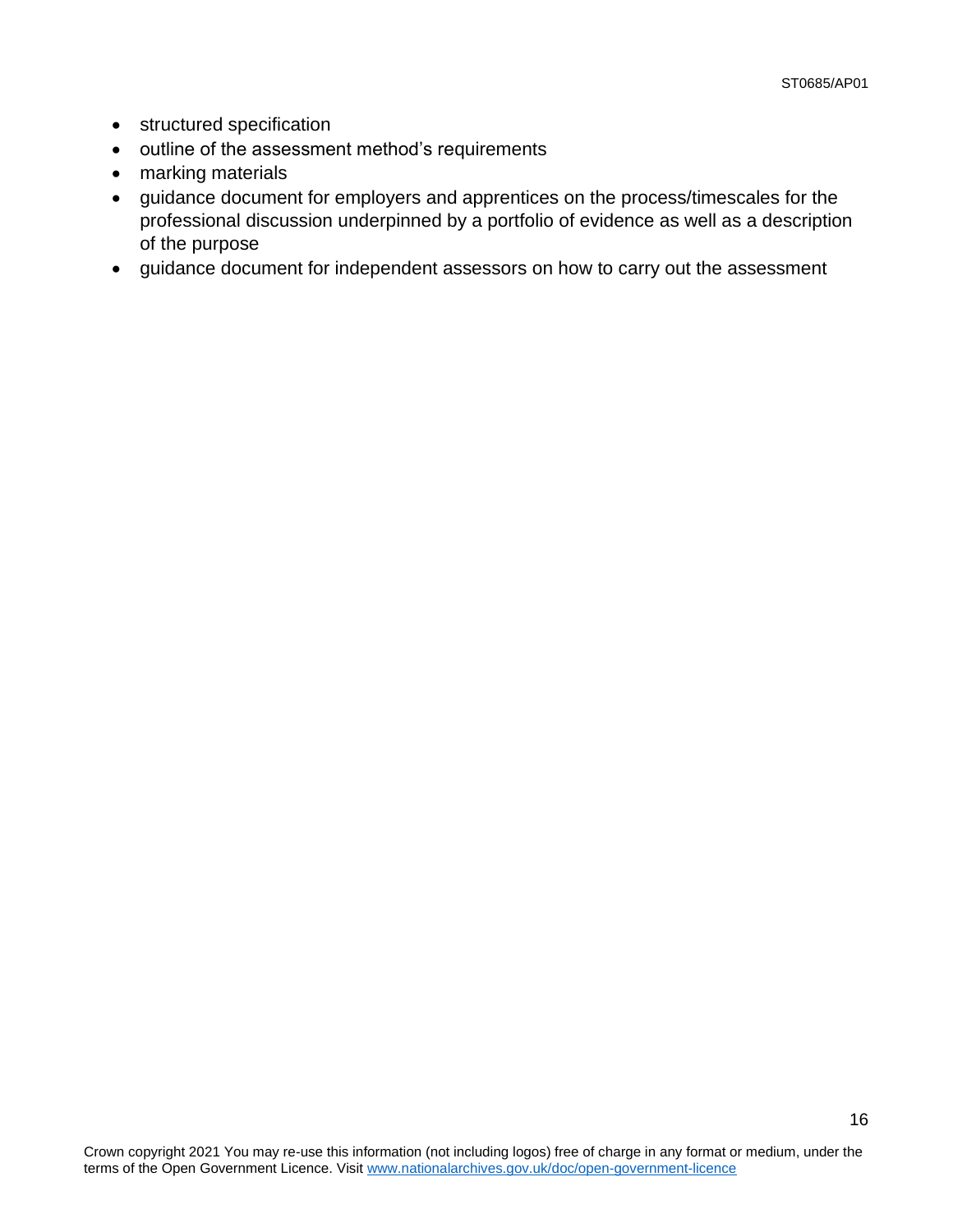- structured specification
- outline of the assessment method's requirements
- marking materials
- guidance document for employers and apprentices on the process/timescales for the professional discussion underpinned by a portfolio of evidence as well as a description of the purpose
- guidance document for independent assessors on how to carry out the assessment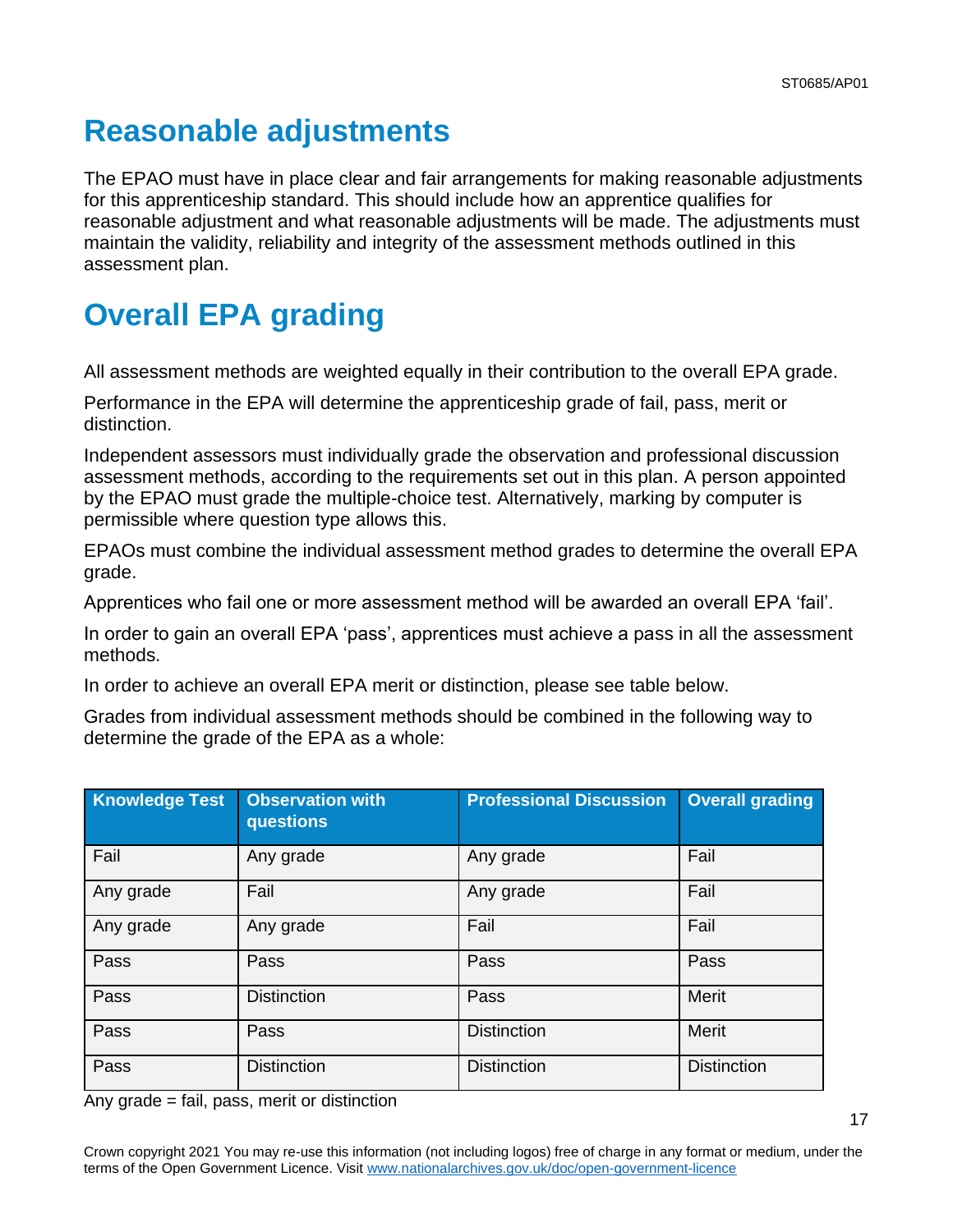# <span id="page-16-0"></span>**Reasonable adjustments**

The EPAO must have in place clear and fair arrangements for making reasonable adjustments for this apprenticeship standard. This should include how an apprentice qualifies for reasonable adjustment and what reasonable adjustments will be made. The adjustments must maintain the validity, reliability and integrity of the assessment methods outlined in this assessment plan.

# <span id="page-16-1"></span>**Overall EPA grading**

All assessment methods are weighted equally in their contribution to the overall EPA grade.

Performance in the EPA will determine the apprenticeship grade of fail, pass, merit or distinction.

Independent assessors must individually grade the observation and professional discussion assessment methods, according to the requirements set out in this plan. A person appointed by the EPAO must grade the multiple-choice test. Alternatively, marking by computer is permissible where question type allows this.

EPAOs must combine the individual assessment method grades to determine the overall EPA grade.

Apprentices who fail one or more assessment method will be awarded an overall EPA 'fail'.

In order to gain an overall EPA 'pass', apprentices must achieve a pass in all the assessment methods.

In order to achieve an overall EPA merit or distinction, please see table below.

Grades from individual assessment methods should be combined in the following way to determine the grade of the EPA as a whole:

| <b>Knowledge Test</b> | <b>Observation with</b><br>questions | <b>Professional Discussion</b> | <b>Overall grading</b> |
|-----------------------|--------------------------------------|--------------------------------|------------------------|
| Fail                  | Any grade                            | Any grade                      | Fail                   |
| Any grade             | Fail                                 | Any grade                      | Fail                   |
| Any grade             | Any grade                            | Fail                           | Fail                   |
| Pass                  | Pass                                 | Pass                           | Pass                   |
| Pass                  | <b>Distinction</b>                   | Pass                           | Merit                  |
| Pass                  | Pass                                 | <b>Distinction</b>             | <b>Merit</b>           |
| Pass                  | <b>Distinction</b>                   | <b>Distinction</b>             | <b>Distinction</b>     |

Any grade = fail, pass, merit or distinction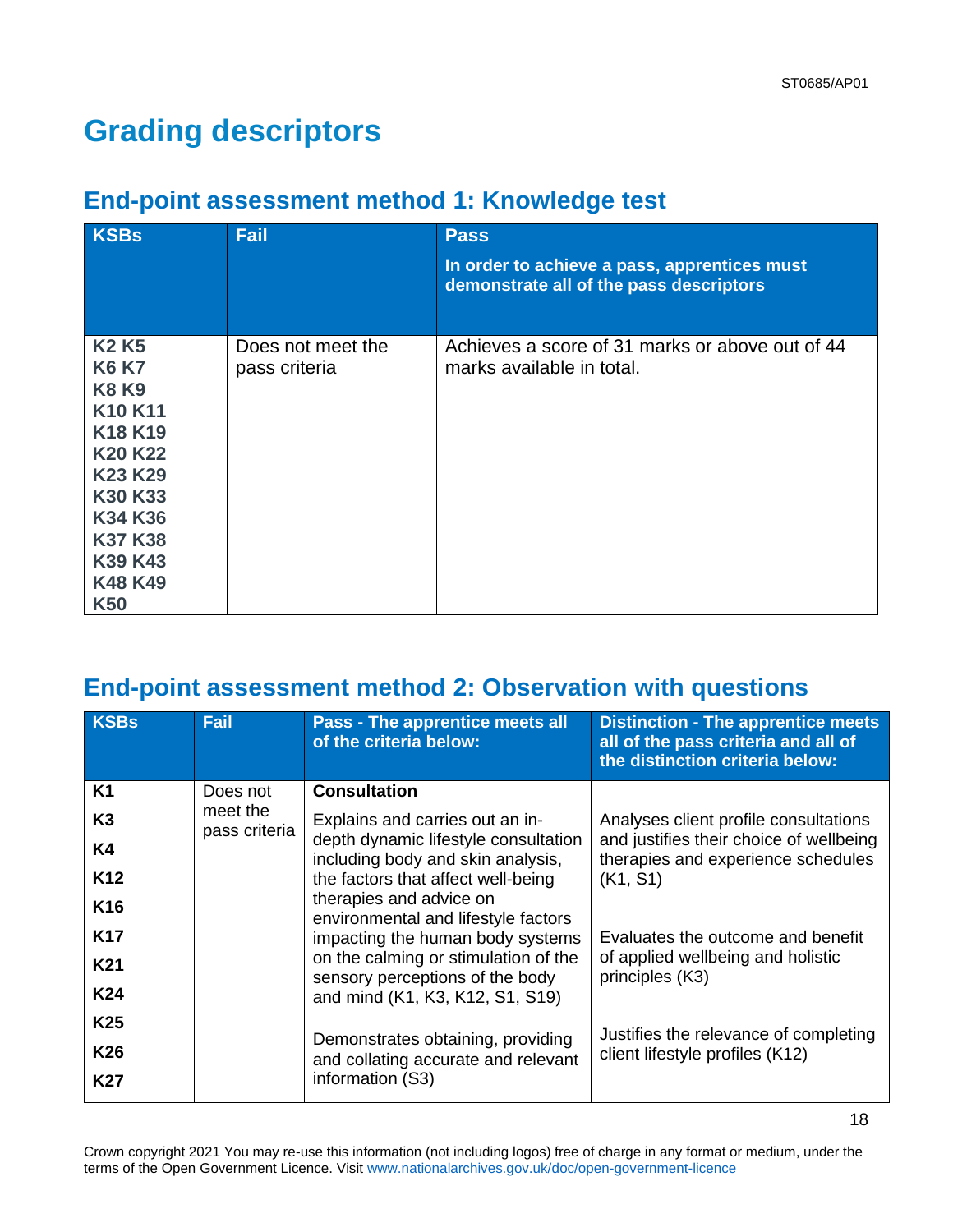# **Grading descriptors**

## **End-point assessment method 1: Knowledge test**

| <b>KSBs</b>                                                                                                                                                                                                                                  | Fail                               | <b>Pass</b><br>In order to achieve a pass, apprentices must<br>demonstrate all of the pass descriptors |
|----------------------------------------------------------------------------------------------------------------------------------------------------------------------------------------------------------------------------------------------|------------------------------------|--------------------------------------------------------------------------------------------------------|
| <b>K2 K5</b><br><b>K6 K7</b><br><b>K8 K9</b><br>K10 K11<br>K <sub>18</sub> K <sub>19</sub><br>K <sub>20</sub> K <sub>22</sub><br>K <sub>23</sub> K <sub>29</sub><br>K30 K33<br>K34 K36<br><b>K37 K38</b><br>K39 K43<br>K48 K49<br><b>K50</b> | Does not meet the<br>pass criteria | Achieves a score of 31 marks or above out of 44<br>marks available in total.                           |

## **End-point assessment method 2: Observation with questions**

| <b>KSBs</b>     | Fail                      | <b>Pass - The apprentice meets all</b><br>of the criteria below:          | <b>Distinction - The apprentice meets</b><br>all of the pass criteria and all of<br>the distinction criteria below: |
|-----------------|---------------------------|---------------------------------------------------------------------------|---------------------------------------------------------------------------------------------------------------------|
| <b>K1</b>       | Does not                  | <b>Consultation</b>                                                       |                                                                                                                     |
| K3              | meet the<br>pass criteria | Explains and carries out an in-                                           | Analyses client profile consultations                                                                               |
| K4              |                           | depth dynamic lifestyle consultation<br>including body and skin analysis, | and justifies their choice of wellbeing<br>therapies and experience schedules                                       |
| K <sub>12</sub> |                           | the factors that affect well-being                                        | (K1, S1)                                                                                                            |
| K16             |                           | therapies and advice on<br>environmental and lifestyle factors            |                                                                                                                     |
| <b>K17</b>      |                           | impacting the human body systems                                          | Evaluates the outcome and benefit                                                                                   |
| <b>K21</b>      |                           | on the calming or stimulation of the                                      | of applied wellbeing and holistic<br>principles (K3)                                                                |
| K24             |                           | sensory perceptions of the body<br>and mind (K1, K3, K12, S1, S19)        |                                                                                                                     |
| K <sub>25</sub> |                           |                                                                           | Justifies the relevance of completing                                                                               |
| K26             |                           | Demonstrates obtaining, providing<br>and collating accurate and relevant  | client lifestyle profiles (K12)                                                                                     |
| K27             |                           | information (S3)                                                          |                                                                                                                     |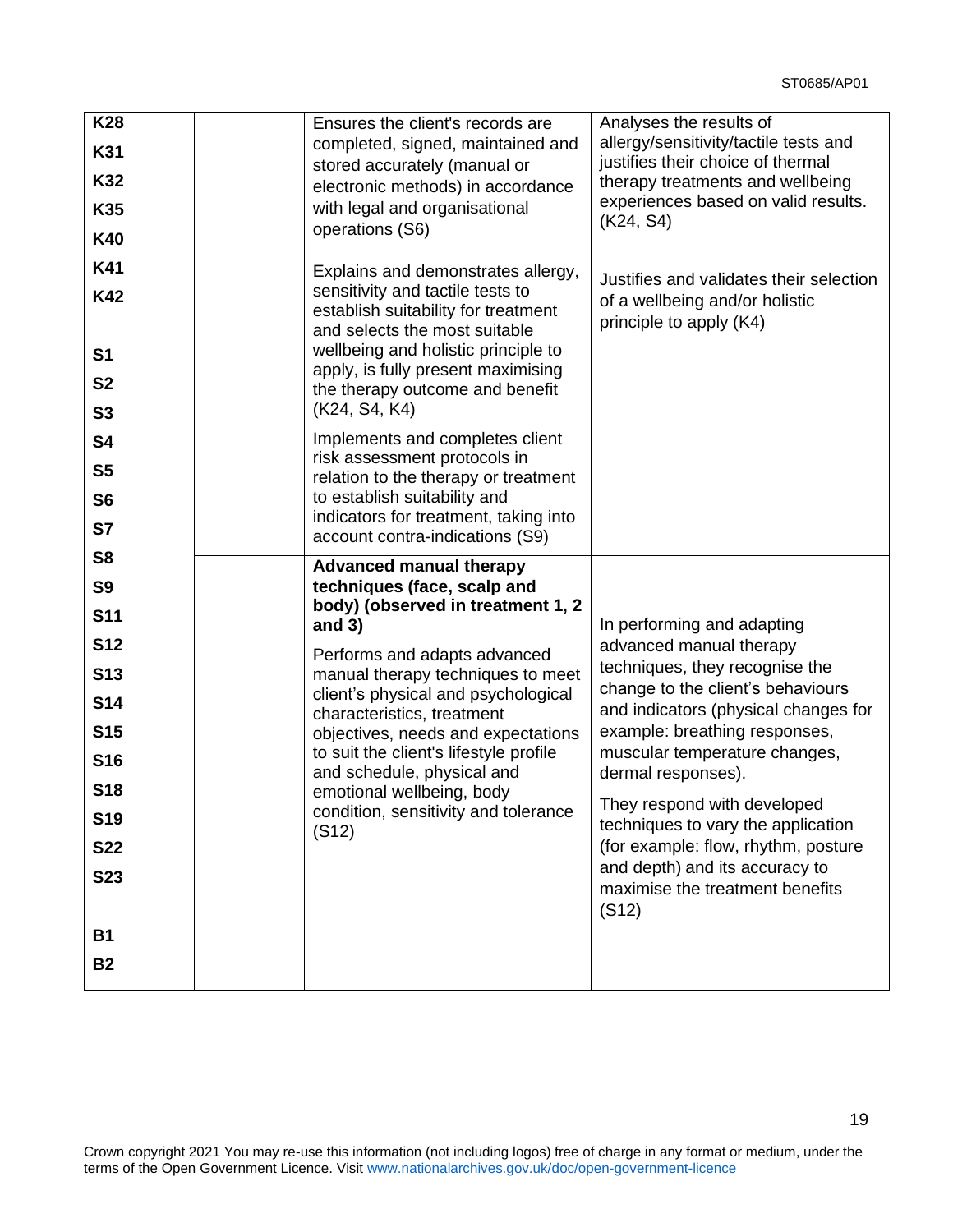19

| <b>K28</b><br>K31<br>K32<br>K35<br><b>K40</b><br><b>K41</b><br><b>K42</b><br>S <sub>1</sub><br><b>S2</b><br>S <sub>3</sub>                                                                             | Ensures the client's records are<br>completed, signed, maintained and<br>stored accurately (manual or<br>electronic methods) in accordance<br>with legal and organisational<br>operations (S6)<br>Explains and demonstrates allergy,<br>sensitivity and tactile tests to<br>establish suitability for treatment<br>and selects the most suitable<br>wellbeing and holistic principle to<br>apply, is fully present maximising<br>the therapy outcome and benefit<br>(K24, S4, K4) | Analyses the results of<br>allergy/sensitivity/tactile tests and<br>justifies their choice of thermal<br>therapy treatments and wellbeing<br>experiences based on valid results.<br>(K24, S4)<br>Justifies and validates their selection<br>of a wellbeing and/or holistic<br>principle to apply (K4)                                                                                                                                                  |
|--------------------------------------------------------------------------------------------------------------------------------------------------------------------------------------------------------|-----------------------------------------------------------------------------------------------------------------------------------------------------------------------------------------------------------------------------------------------------------------------------------------------------------------------------------------------------------------------------------------------------------------------------------------------------------------------------------|--------------------------------------------------------------------------------------------------------------------------------------------------------------------------------------------------------------------------------------------------------------------------------------------------------------------------------------------------------------------------------------------------------------------------------------------------------|
| S4<br>S <sub>5</sub><br>S <sub>6</sub><br>S7                                                                                                                                                           | Implements and completes client<br>risk assessment protocols in<br>relation to the therapy or treatment<br>to establish suitability and<br>indicators for treatment, taking into<br>account contra-indications (S9)                                                                                                                                                                                                                                                               |                                                                                                                                                                                                                                                                                                                                                                                                                                                        |
| S <sub>8</sub><br>S <sub>9</sub><br><b>S11</b><br><b>S12</b><br><b>S13</b><br><b>S14</b><br><b>S15</b><br><b>S16</b><br><b>S18</b><br><b>S19</b><br><b>S22</b><br><b>S23</b><br><b>B1</b><br><b>B2</b> | <b>Advanced manual therapy</b><br>techniques (face, scalp and<br>body) (observed in treatment 1, 2<br>and $3)$<br>Performs and adapts advanced<br>manual therapy techniques to meet<br>client's physical and psychological<br>characteristics, treatment<br>objectives, needs and expectations<br>to suit the client's lifestyle profile<br>and schedule, physical and<br>emotional wellbeing, body<br>condition, sensitivity and tolerance<br>(S12)                              | In performing and adapting<br>advanced manual therapy<br>techniques, they recognise the<br>change to the client's behaviours<br>and indicators (physical changes for<br>example: breathing responses,<br>muscular temperature changes,<br>dermal responses).<br>They respond with developed<br>techniques to vary the application<br>(for example: flow, rhythm, posture<br>and depth) and its accuracy to<br>maximise the treatment benefits<br>(S12) |
|                                                                                                                                                                                                        |                                                                                                                                                                                                                                                                                                                                                                                                                                                                                   |                                                                                                                                                                                                                                                                                                                                                                                                                                                        |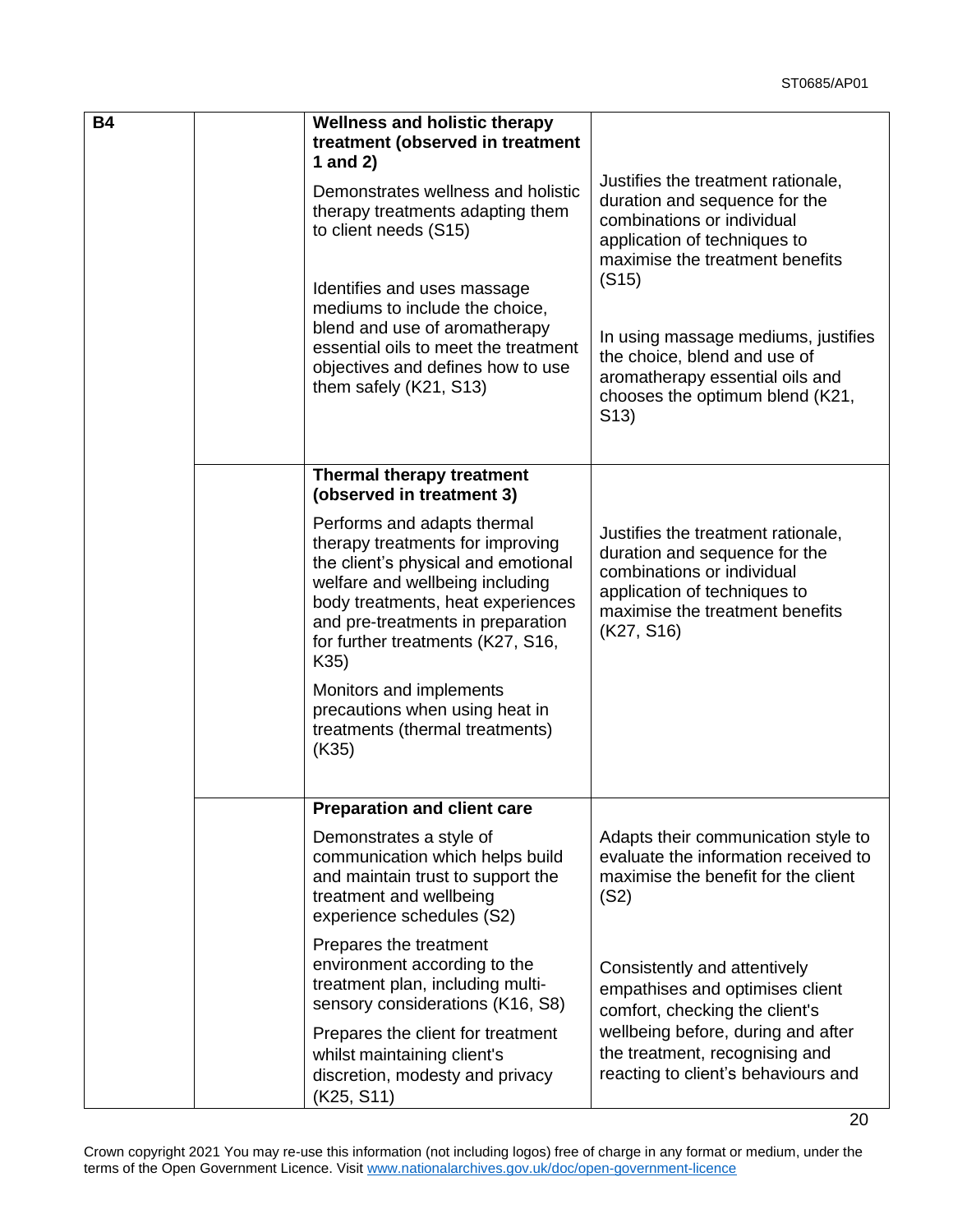| <b>B4</b> | <b>Wellness and holistic therapy</b>                                                                                                                                                                                                                             |                                                                                                                                                                                    |
|-----------|------------------------------------------------------------------------------------------------------------------------------------------------------------------------------------------------------------------------------------------------------------------|------------------------------------------------------------------------------------------------------------------------------------------------------------------------------------|
|           | treatment (observed in treatment<br>1 and $2$ )                                                                                                                                                                                                                  |                                                                                                                                                                                    |
|           | Demonstrates wellness and holistic<br>therapy treatments adapting them<br>to client needs (S15)                                                                                                                                                                  | Justifies the treatment rationale,<br>duration and sequence for the<br>combinations or individual<br>application of techniques to<br>maximise the treatment benefits               |
|           | Identifies and uses massage<br>mediums to include the choice,<br>blend and use of aromatherapy<br>essential oils to meet the treatment<br>objectives and defines how to use<br>them safely (K21, S13)                                                            | (S15)<br>In using massage mediums, justifies<br>the choice, blend and use of<br>aromatherapy essential oils and<br>chooses the optimum blend (K21,<br>S(13)                        |
|           | <b>Thermal therapy treatment</b><br>(observed in treatment 3)                                                                                                                                                                                                    |                                                                                                                                                                                    |
|           | Performs and adapts thermal<br>therapy treatments for improving<br>the client's physical and emotional<br>welfare and wellbeing including<br>body treatments, heat experiences<br>and pre-treatments in preparation<br>for further treatments (K27, S16,<br>K35) | Justifies the treatment rationale,<br>duration and sequence for the<br>combinations or individual<br>application of techniques to<br>maximise the treatment benefits<br>(K27, S16) |
|           | Monitors and implements<br>precautions when using heat in<br>treatments (thermal treatments)<br>(K35)                                                                                                                                                            |                                                                                                                                                                                    |
|           | <b>Preparation and client care</b>                                                                                                                                                                                                                               |                                                                                                                                                                                    |
|           | Demonstrates a style of<br>communication which helps build<br>and maintain trust to support the<br>treatment and wellbeing<br>experience schedules (S2)                                                                                                          | Adapts their communication style to<br>evaluate the information received to<br>maximise the benefit for the client<br>(S2)                                                         |
|           | Prepares the treatment<br>environment according to the<br>treatment plan, including multi-<br>sensory considerations (K16, S8)                                                                                                                                   | Consistently and attentively<br>empathises and optimises client<br>comfort, checking the client's                                                                                  |
|           | Prepares the client for treatment<br>whilst maintaining client's<br>discretion, modesty and privacy<br>(K25, S11)                                                                                                                                                | wellbeing before, during and after<br>the treatment, recognising and<br>reacting to client's behaviours and                                                                        |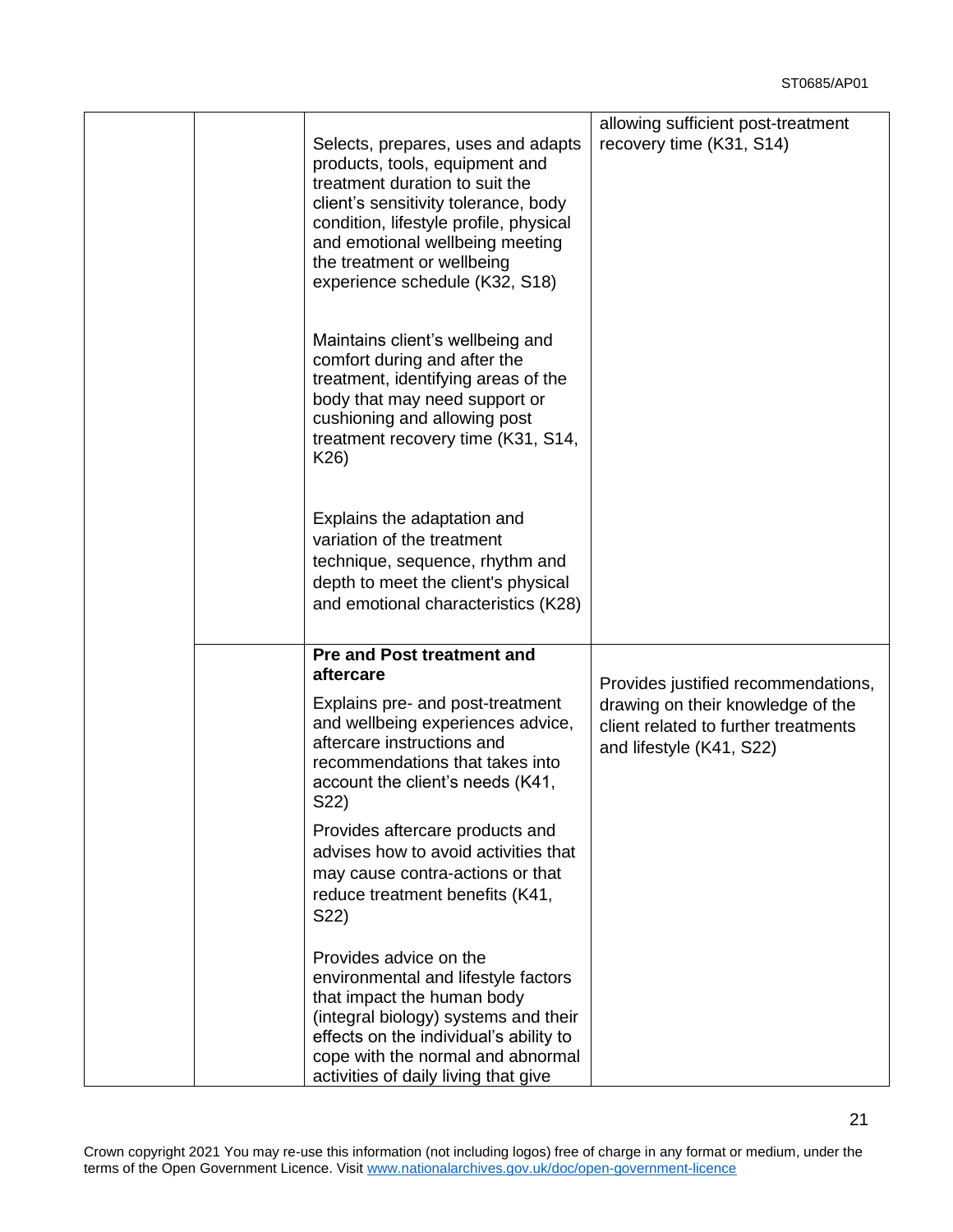|  | Selects, prepares, uses and adapts<br>products, tools, equipment and<br>treatment duration to suit the<br>client's sensitivity tolerance, body<br>condition, lifestyle profile, physical<br>and emotional wellbeing meeting<br>the treatment or wellbeing<br>experience schedule (K32, S18)                     | allowing sufficient post-treatment<br>recovery time (K31, S14)                                                                               |
|--|-----------------------------------------------------------------------------------------------------------------------------------------------------------------------------------------------------------------------------------------------------------------------------------------------------------------|----------------------------------------------------------------------------------------------------------------------------------------------|
|  | Maintains client's wellbeing and<br>comfort during and after the<br>treatment, identifying areas of the<br>body that may need support or<br>cushioning and allowing post<br>treatment recovery time (K31, S14,<br>K26)                                                                                          |                                                                                                                                              |
|  | Explains the adaptation and<br>variation of the treatment<br>technique, sequence, rhythm and<br>depth to meet the client's physical<br>and emotional characteristics (K28)                                                                                                                                      |                                                                                                                                              |
|  | <b>Pre and Post treatment and</b><br>aftercare<br>Explains pre- and post-treatment<br>and wellbeing experiences advice,<br>aftercare instructions and<br>recommendations that takes into<br>account the client's needs (K41,<br>S22)<br>Provides aftercare products and<br>advises how to avoid activities that | Provides justified recommendations,<br>drawing on their knowledge of the<br>client related to further treatments<br>and lifestyle (K41, S22) |
|  | may cause contra-actions or that<br>reduce treatment benefits (K41,<br>S22)<br>Provides advice on the<br>environmental and lifestyle factors<br>that impact the human body<br>(integral biology) systems and their<br>effects on the individual's ability to                                                    |                                                                                                                                              |
|  | cope with the normal and abnormal<br>activities of daily living that give                                                                                                                                                                                                                                       |                                                                                                                                              |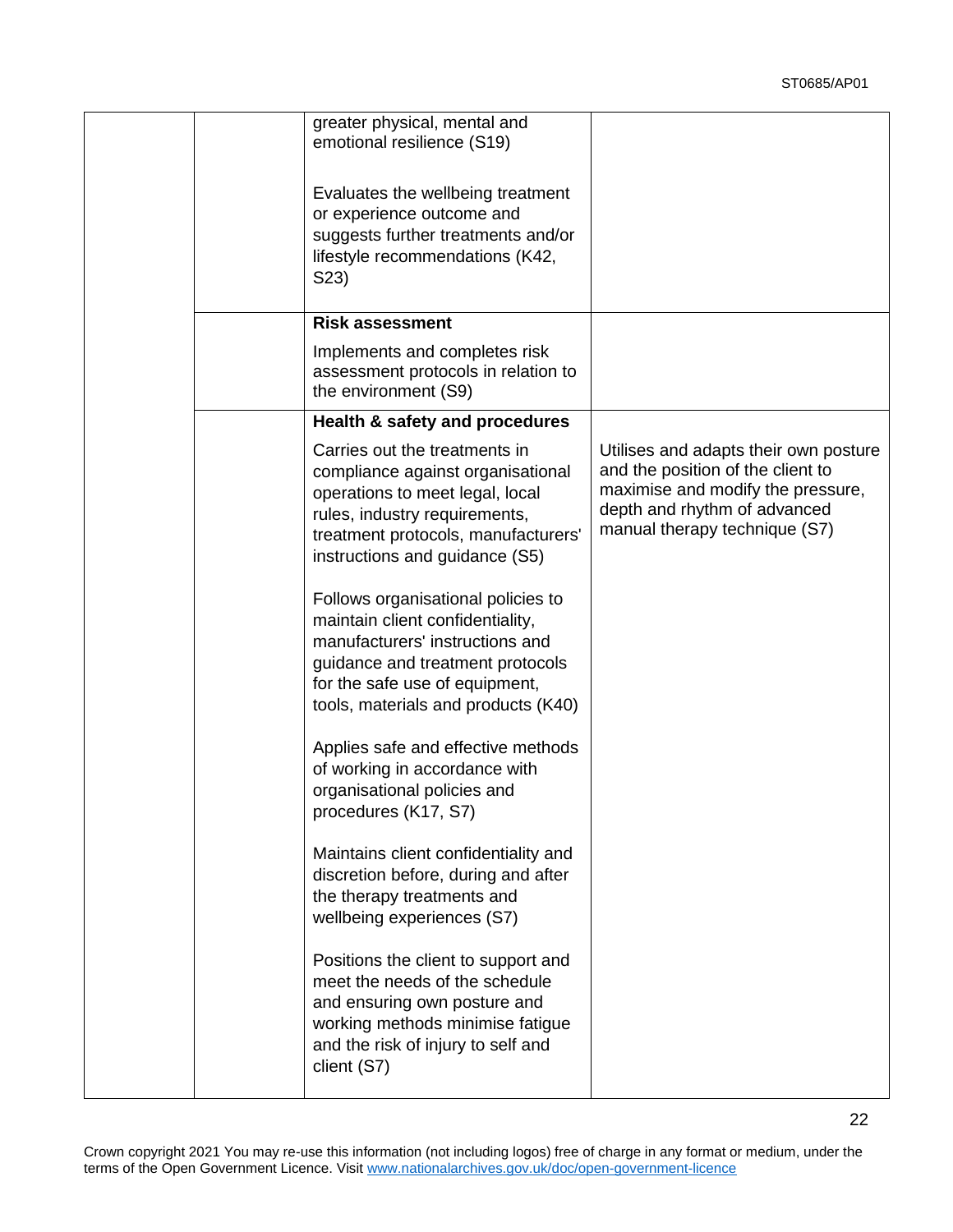|  | greater physical, mental and<br>emotional resilience (S19)                                                                                                                                                             |                                                                                                                                                                                  |
|--|------------------------------------------------------------------------------------------------------------------------------------------------------------------------------------------------------------------------|----------------------------------------------------------------------------------------------------------------------------------------------------------------------------------|
|  | Evaluates the wellbeing treatment<br>or experience outcome and<br>suggests further treatments and/or<br>lifestyle recommendations (K42,<br>S23)                                                                        |                                                                                                                                                                                  |
|  | <b>Risk assessment</b>                                                                                                                                                                                                 |                                                                                                                                                                                  |
|  | Implements and completes risk<br>assessment protocols in relation to<br>the environment (S9)                                                                                                                           |                                                                                                                                                                                  |
|  | Health & safety and procedures                                                                                                                                                                                         |                                                                                                                                                                                  |
|  | Carries out the treatments in<br>compliance against organisational<br>operations to meet legal, local<br>rules, industry requirements,<br>treatment protocols, manufacturers'<br>instructions and guidance (S5)        | Utilises and adapts their own posture<br>and the position of the client to<br>maximise and modify the pressure,<br>depth and rhythm of advanced<br>manual therapy technique (S7) |
|  | Follows organisational policies to<br>maintain client confidentiality,<br>manufacturers' instructions and<br>guidance and treatment protocols<br>for the safe use of equipment,<br>tools, materials and products (K40) |                                                                                                                                                                                  |
|  | Applies safe and effective methods<br>of working in accordance with<br>organisational policies and<br>procedures (K17, S7)                                                                                             |                                                                                                                                                                                  |
|  | Maintains client confidentiality and<br>discretion before, during and after<br>the therapy treatments and<br>wellbeing experiences (S7)                                                                                |                                                                                                                                                                                  |
|  | Positions the client to support and<br>meet the needs of the schedule<br>and ensuring own posture and<br>working methods minimise fatigue<br>and the risk of injury to self and<br>client (S7)                         |                                                                                                                                                                                  |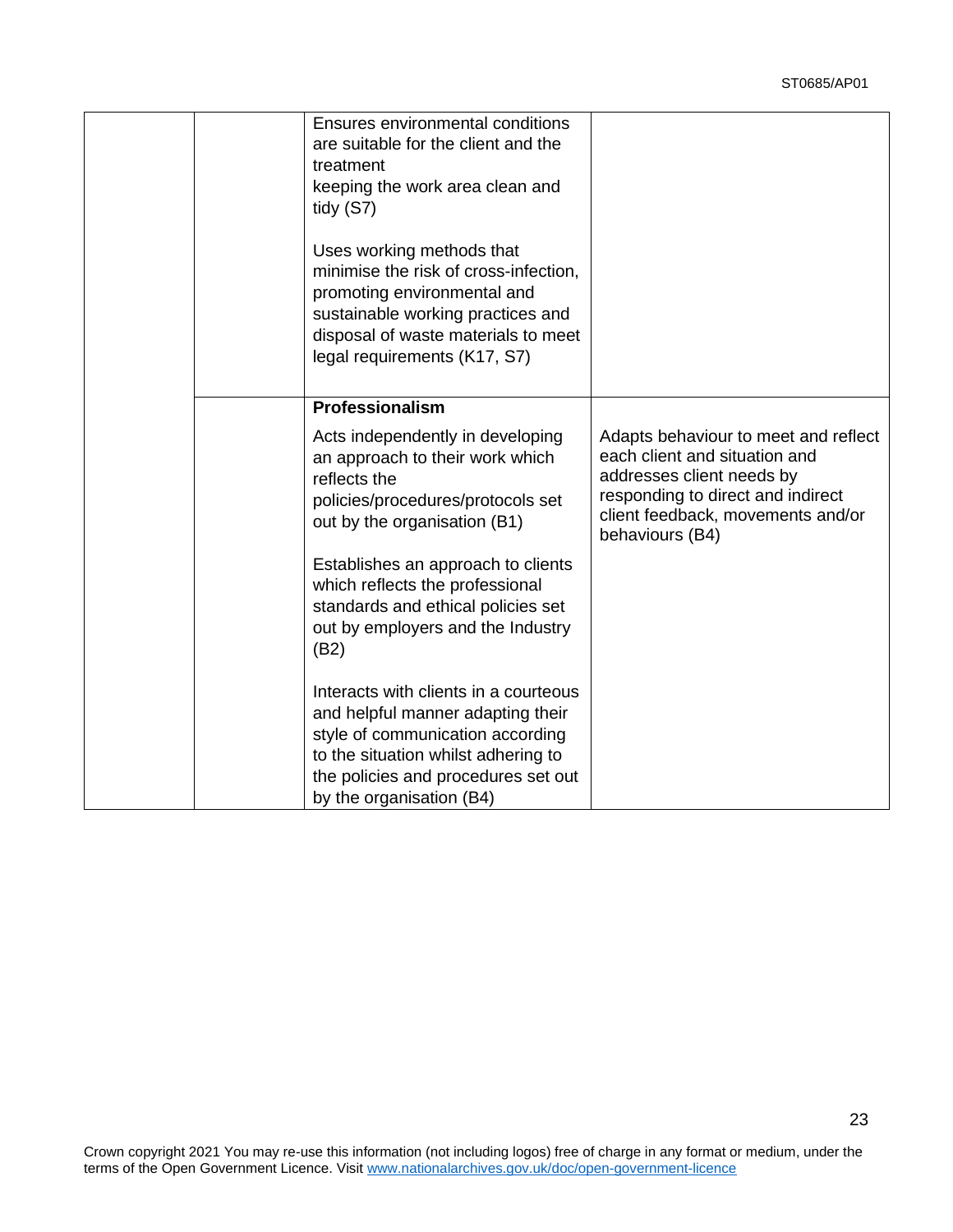|  | Ensures environmental conditions<br>are suitable for the client and the<br>treatment<br>keeping the work area clean and<br>tidy $(S7)$                                                                                   |                                                                                                                                                                                                 |
|--|--------------------------------------------------------------------------------------------------------------------------------------------------------------------------------------------------------------------------|-------------------------------------------------------------------------------------------------------------------------------------------------------------------------------------------------|
|  | Uses working methods that<br>minimise the risk of cross-infection,<br>promoting environmental and<br>sustainable working practices and<br>disposal of waste materials to meet<br>legal requirements (K17, S7)            |                                                                                                                                                                                                 |
|  | Professionalism                                                                                                                                                                                                          |                                                                                                                                                                                                 |
|  | Acts independently in developing<br>an approach to their work which<br>reflects the<br>policies/procedures/protocols set<br>out by the organisation (B1)                                                                 | Adapts behaviour to meet and reflect<br>each client and situation and<br>addresses client needs by<br>responding to direct and indirect<br>client feedback, movements and/or<br>behaviours (B4) |
|  | Establishes an approach to clients<br>which reflects the professional<br>standards and ethical policies set<br>out by employers and the Industry<br>(B2)                                                                 |                                                                                                                                                                                                 |
|  | Interacts with clients in a courteous<br>and helpful manner adapting their<br>style of communication according<br>to the situation whilst adhering to<br>the policies and procedures set out<br>by the organisation (B4) |                                                                                                                                                                                                 |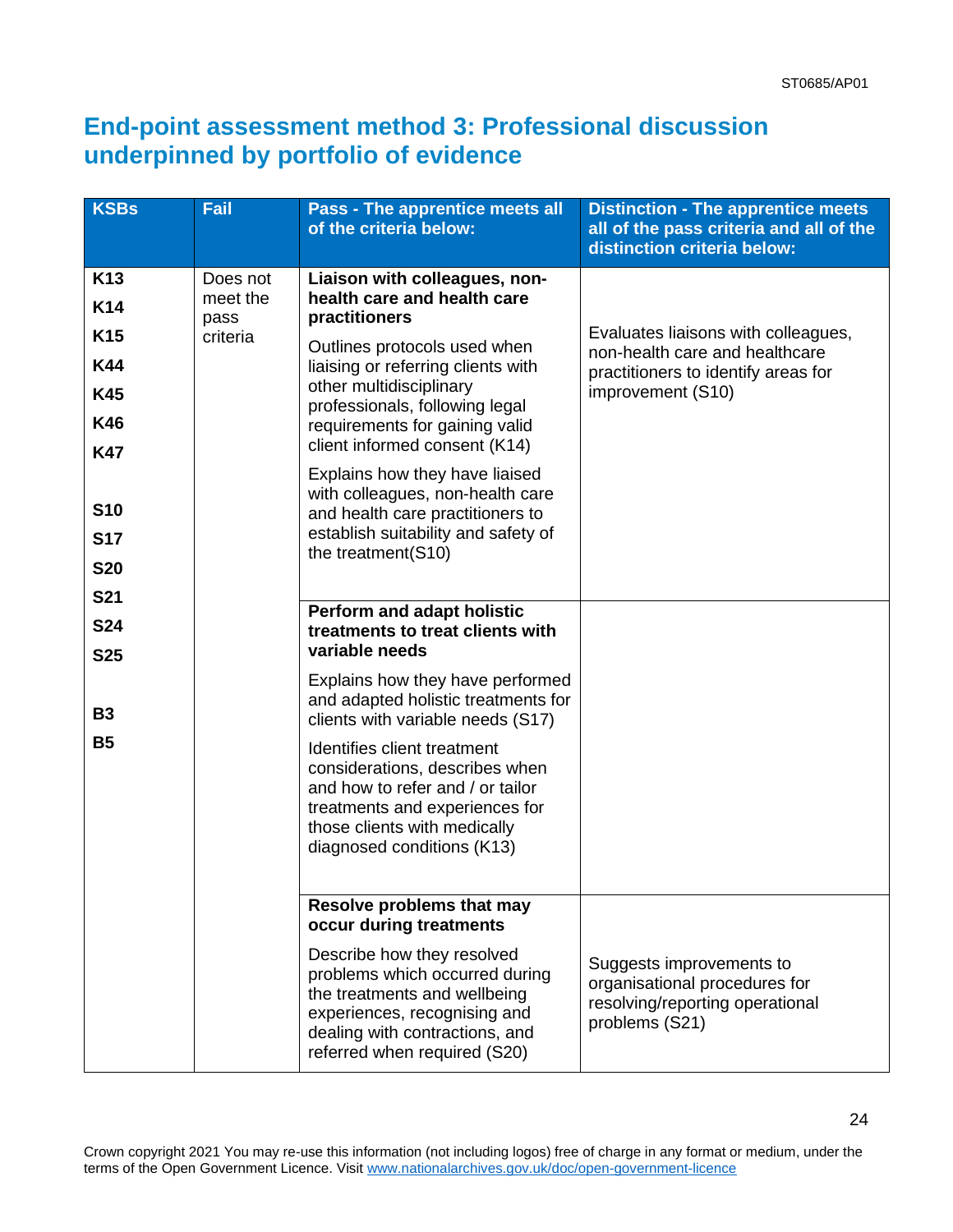## **End-point assessment method 3: Professional discussion underpinned by portfolio of evidence**

| <b>KSBs</b>                                                                                                                          | Fail                                     | <b>Pass - The apprentice meets all</b><br>of the criteria below:                                                                                                                                                                                                                                                                                                                                                                     | <b>Distinction - The apprentice meets</b><br>all of the pass criteria and all of the<br>distinction criteria below:               |
|--------------------------------------------------------------------------------------------------------------------------------------|------------------------------------------|--------------------------------------------------------------------------------------------------------------------------------------------------------------------------------------------------------------------------------------------------------------------------------------------------------------------------------------------------------------------------------------------------------------------------------------|-----------------------------------------------------------------------------------------------------------------------------------|
| K <sub>13</sub><br><b>K14</b><br>K <sub>15</sub><br><b>K44</b><br><b>K45</b><br><b>K46</b><br><b>K47</b><br><b>S10</b><br><b>S17</b> | Does not<br>meet the<br>pass<br>criteria | Liaison with colleagues, non-<br>health care and health care<br>practitioners<br>Outlines protocols used when<br>liaising or referring clients with<br>other multidisciplinary<br>professionals, following legal<br>requirements for gaining valid<br>client informed consent (K14)<br>Explains how they have liaised<br>with colleagues, non-health care<br>and health care practitioners to<br>establish suitability and safety of | Evaluates liaisons with colleagues,<br>non-health care and healthcare<br>practitioners to identify areas for<br>improvement (S10) |
| <b>S20</b><br><b>S21</b><br><b>S24</b>                                                                                               |                                          | the treatment(S10)<br>Perform and adapt holistic<br>treatments to treat clients with<br>variable needs                                                                                                                                                                                                                                                                                                                               |                                                                                                                                   |
| <b>S25</b><br><b>B3</b><br><b>B5</b>                                                                                                 |                                          | Explains how they have performed<br>and adapted holistic treatments for<br>clients with variable needs (S17)                                                                                                                                                                                                                                                                                                                         |                                                                                                                                   |
|                                                                                                                                      |                                          | Identifies client treatment<br>considerations, describes when<br>and how to refer and / or tailor<br>treatments and experiences for<br>those clients with medically<br>diagnosed conditions (K13)                                                                                                                                                                                                                                    |                                                                                                                                   |
|                                                                                                                                      |                                          | <b>Resolve problems that may</b><br>occur during treatments<br>Describe how they resolved<br>problems which occurred during<br>the treatments and wellbeing<br>experiences, recognising and<br>dealing with contractions, and<br>referred when required (S20)                                                                                                                                                                        | Suggests improvements to<br>organisational procedures for<br>resolving/reporting operational<br>problems (S21)                    |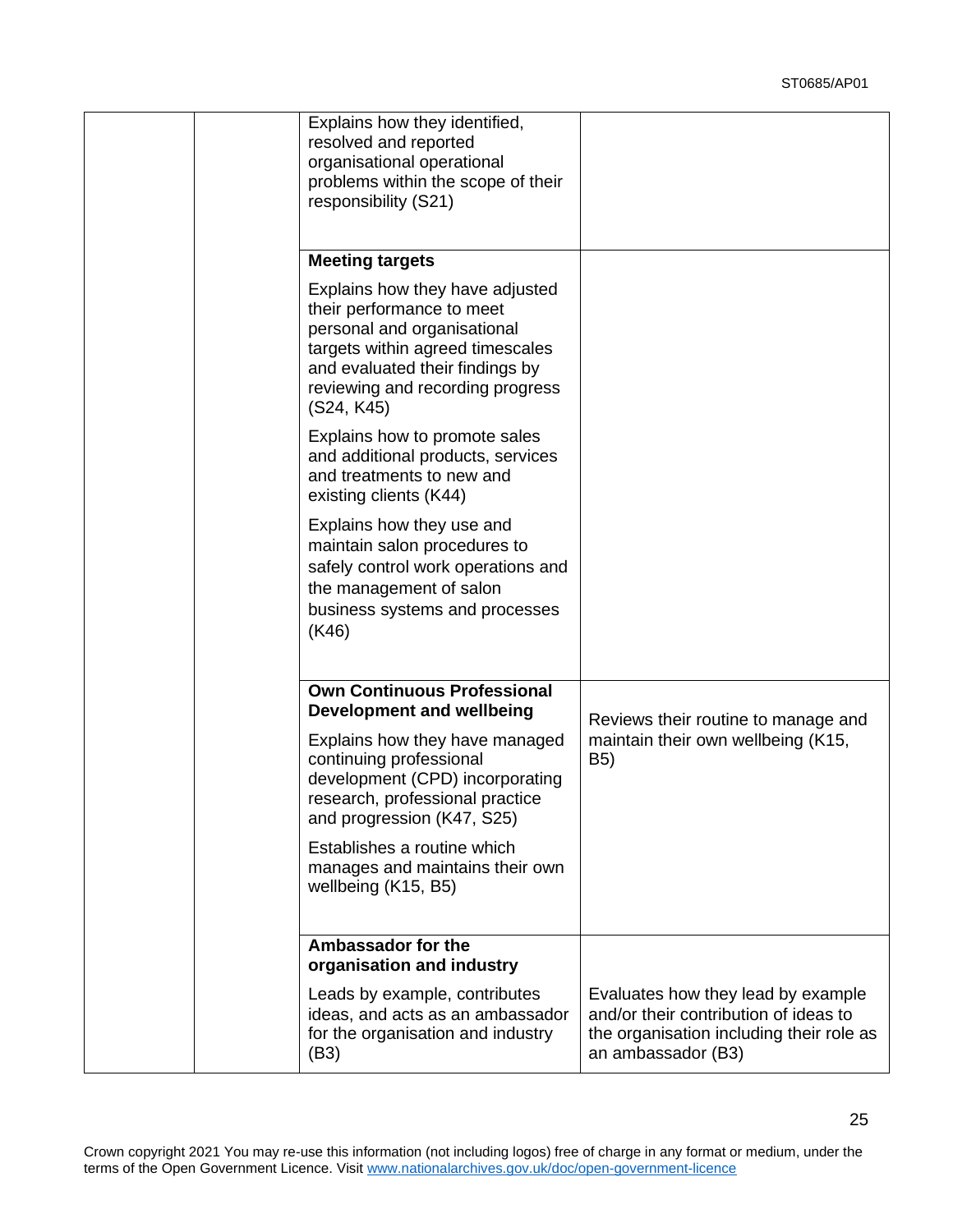|  | Explains how they identified,<br>resolved and reported<br>organisational operational<br>problems within the scope of their                                                                                           |                                                                                                                                               |
|--|----------------------------------------------------------------------------------------------------------------------------------------------------------------------------------------------------------------------|-----------------------------------------------------------------------------------------------------------------------------------------------|
|  | responsibility (S21)                                                                                                                                                                                                 |                                                                                                                                               |
|  | <b>Meeting targets</b>                                                                                                                                                                                               |                                                                                                                                               |
|  | Explains how they have adjusted<br>their performance to meet<br>personal and organisational<br>targets within agreed timescales<br>and evaluated their findings by<br>reviewing and recording progress<br>(S24, K45) |                                                                                                                                               |
|  | Explains how to promote sales<br>and additional products, services<br>and treatments to new and<br>existing clients (K44)                                                                                            |                                                                                                                                               |
|  | Explains how they use and<br>maintain salon procedures to<br>safely control work operations and<br>the management of salon<br>business systems and processes<br>(K46)                                                |                                                                                                                                               |
|  | <b>Own Continuous Professional</b><br><b>Development and wellbeing</b>                                                                                                                                               | Reviews their routine to manage and                                                                                                           |
|  | Explains how they have managed<br>continuing professional<br>development (CPD) incorporating<br>research, professional practice<br>and progression (K47, S25)                                                        | maintain their own wellbeing (K15,<br>B5)                                                                                                     |
|  | Establishes a routine which<br>manages and maintains their own<br>wellbeing (K15, B5)                                                                                                                                |                                                                                                                                               |
|  | Ambassador for the<br>organisation and industry                                                                                                                                                                      |                                                                                                                                               |
|  | Leads by example, contributes<br>ideas, and acts as an ambassador<br>for the organisation and industry<br>(B3)                                                                                                       | Evaluates how they lead by example<br>and/or their contribution of ideas to<br>the organisation including their role as<br>an ambassador (B3) |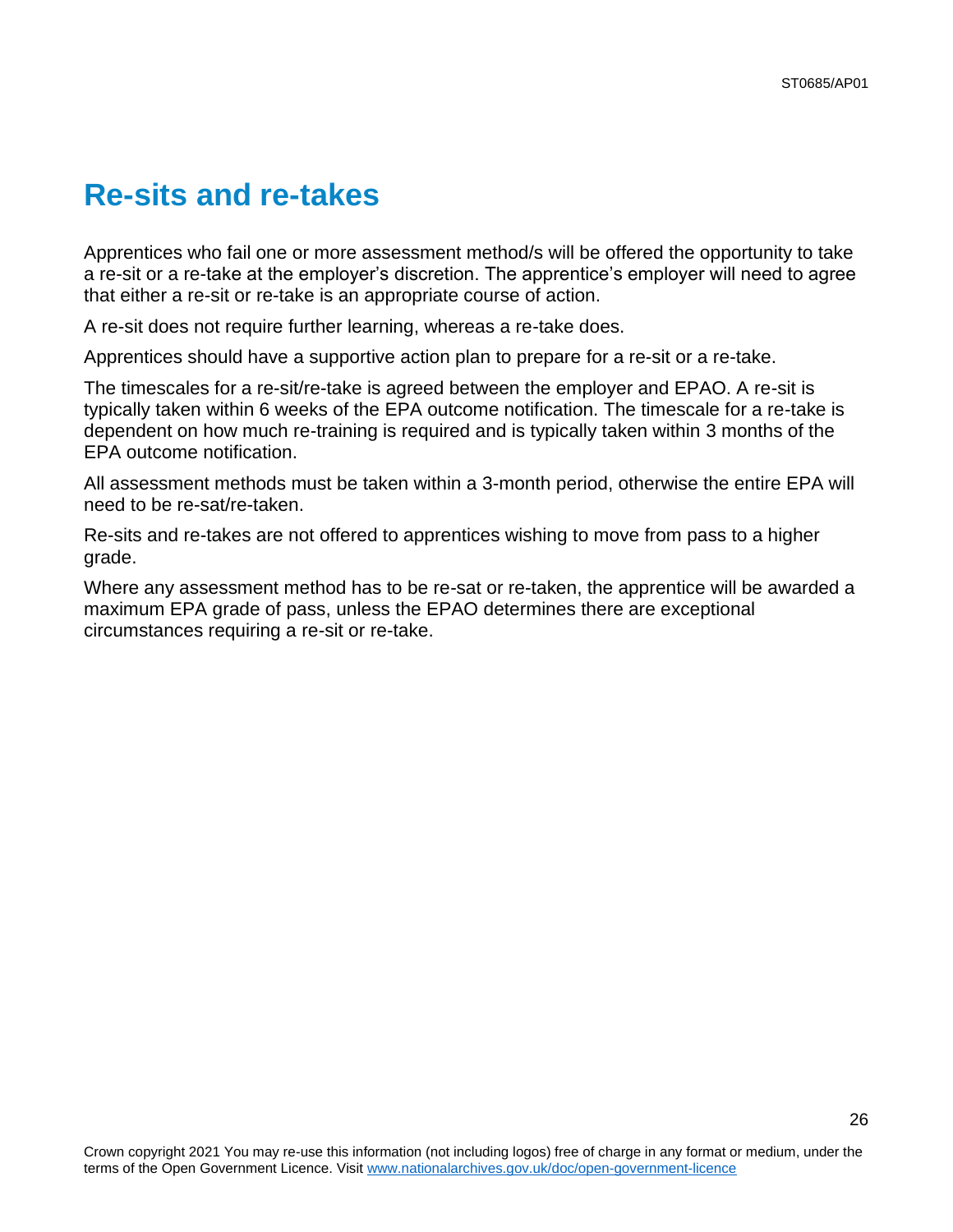## <span id="page-25-0"></span>**Re-sits and re-takes**

Apprentices who fail one or more assessment method/s will be offered the opportunity to take a re-sit or a re-take at the employer's discretion. The apprentice's employer will need to agree that either a re-sit or re-take is an appropriate course of action.

A re-sit does not require further learning, whereas a re-take does.

Apprentices should have a supportive action plan to prepare for a re-sit or a re-take.

The timescales for a re-sit/re-take is agreed between the employer and EPAO. A re-sit is typically taken within 6 weeks of the EPA outcome notification. The timescale for a re-take is dependent on how much re-training is required and is typically taken within 3 months of the EPA outcome notification.

All assessment methods must be taken within a 3-month period, otherwise the entire EPA will need to be re-sat/re-taken.

Re-sits and re-takes are not offered to apprentices wishing to move from pass to a higher grade.

Where any assessment method has to be re-sat or re-taken, the apprentice will be awarded a maximum EPA grade of pass, unless the EPAO determines there are exceptional circumstances requiring a re-sit or re-take.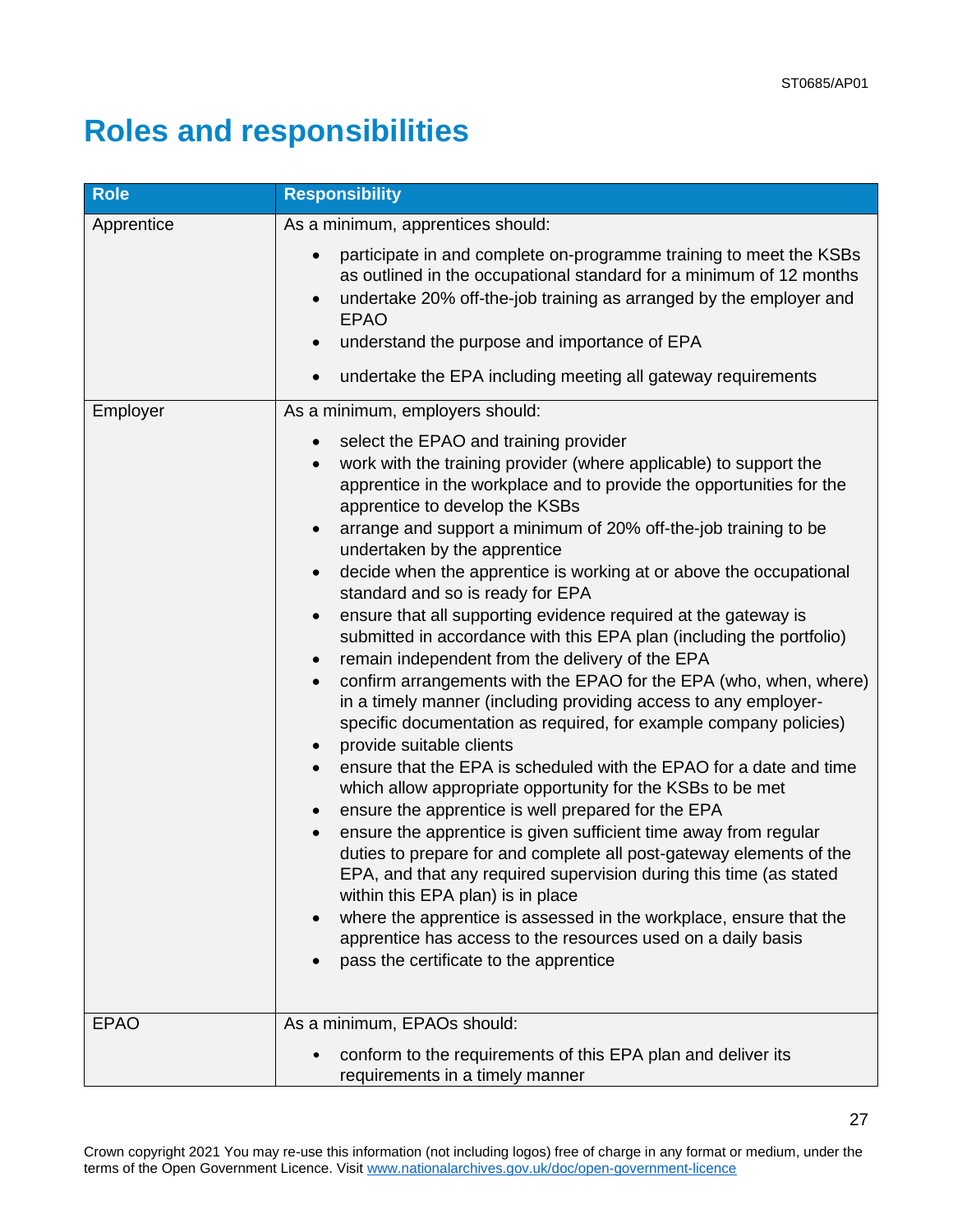# <span id="page-26-0"></span>**Roles and responsibilities**

| <b>Role</b>            | <b>Responsibility</b>                                                                                                                                                                                                                                                                                                                                                                                                                                                                                                                                                                                                                                                                                                                                                                                                                                                                                                                                                                                                                                                                                                                                                                                                                                                                                                                                                                                                                                                                                                                                                                              |
|------------------------|----------------------------------------------------------------------------------------------------------------------------------------------------------------------------------------------------------------------------------------------------------------------------------------------------------------------------------------------------------------------------------------------------------------------------------------------------------------------------------------------------------------------------------------------------------------------------------------------------------------------------------------------------------------------------------------------------------------------------------------------------------------------------------------------------------------------------------------------------------------------------------------------------------------------------------------------------------------------------------------------------------------------------------------------------------------------------------------------------------------------------------------------------------------------------------------------------------------------------------------------------------------------------------------------------------------------------------------------------------------------------------------------------------------------------------------------------------------------------------------------------------------------------------------------------------------------------------------------------|
| Apprentice<br>Employer | As a minimum, apprentices should:<br>participate in and complete on-programme training to meet the KSBs<br>as outlined in the occupational standard for a minimum of 12 months<br>undertake 20% off-the-job training as arranged by the employer and<br><b>EPAO</b><br>understand the purpose and importance of EPA<br>undertake the EPA including meeting all gateway requirements<br>As a minimum, employers should:                                                                                                                                                                                                                                                                                                                                                                                                                                                                                                                                                                                                                                                                                                                                                                                                                                                                                                                                                                                                                                                                                                                                                                             |
|                        | select the EPAO and training provider<br>work with the training provider (where applicable) to support the<br>apprentice in the workplace and to provide the opportunities for the<br>apprentice to develop the KSBs<br>arrange and support a minimum of 20% off-the-job training to be<br>$\bullet$<br>undertaken by the apprentice<br>decide when the apprentice is working at or above the occupational<br>$\bullet$<br>standard and so is ready for EPA<br>ensure that all supporting evidence required at the gateway is<br>$\bullet$<br>submitted in accordance with this EPA plan (including the portfolio)<br>remain independent from the delivery of the EPA<br>$\bullet$<br>confirm arrangements with the EPAO for the EPA (who, when, where)<br>$\bullet$<br>in a timely manner (including providing access to any employer-<br>specific documentation as required, for example company policies)<br>provide suitable clients<br>$\bullet$<br>ensure that the EPA is scheduled with the EPAO for a date and time<br>which allow appropriate opportunity for the KSBs to be met<br>ensure the apprentice is well prepared for the EPA<br>$\bullet$<br>ensure the apprentice is given sufficient time away from regular<br>duties to prepare for and complete all post-gateway elements of the<br>EPA, and that any required supervision during this time (as stated<br>within this EPA plan) is in place<br>where the apprentice is assessed in the workplace, ensure that the<br>apprentice has access to the resources used on a daily basis<br>pass the certificate to the apprentice |
| <b>EPAO</b>            | As a minimum, EPAOs should:<br>conform to the requirements of this EPA plan and deliver its<br>requirements in a timely manner                                                                                                                                                                                                                                                                                                                                                                                                                                                                                                                                                                                                                                                                                                                                                                                                                                                                                                                                                                                                                                                                                                                                                                                                                                                                                                                                                                                                                                                                     |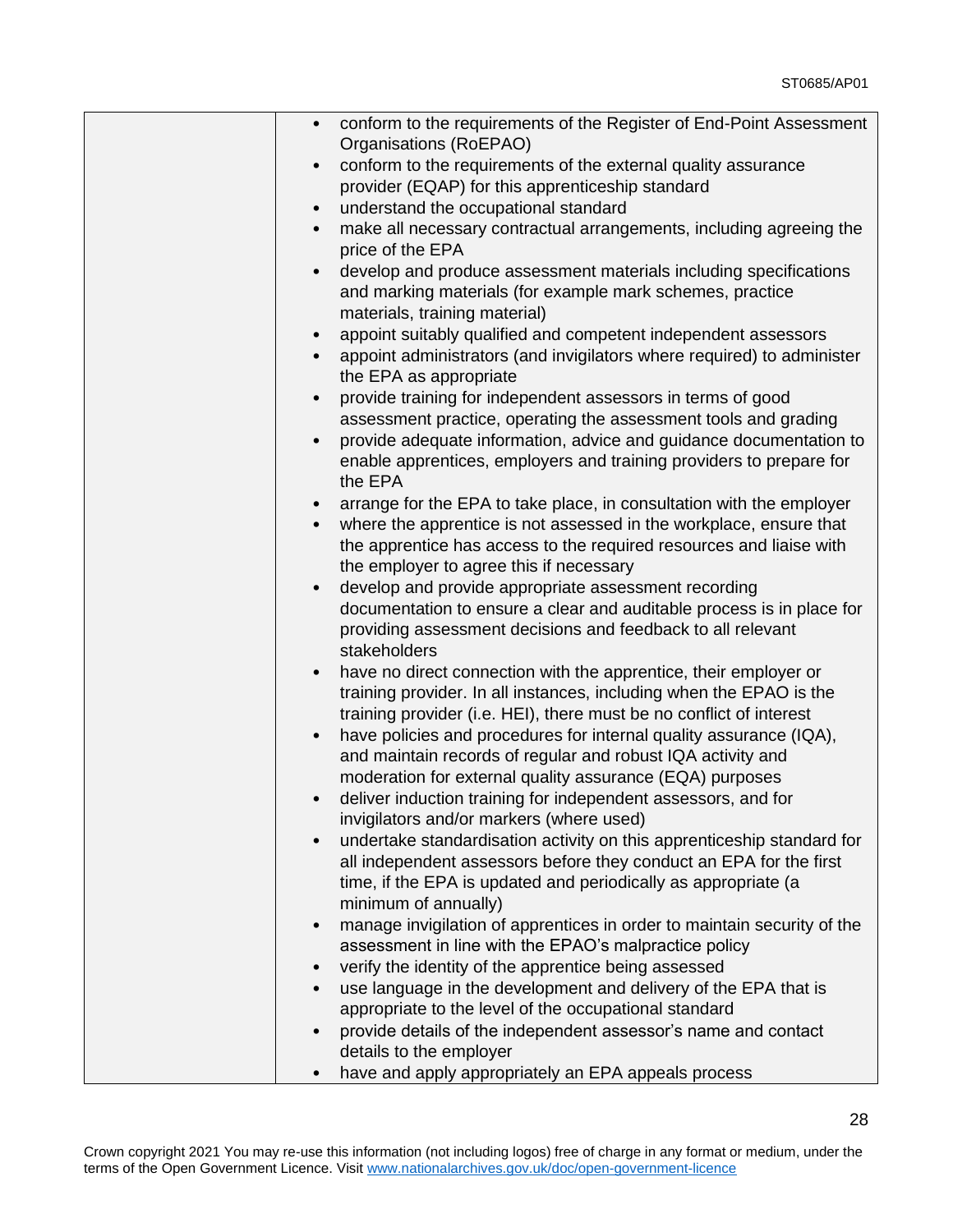| conform to the requirements of the Register of End-Point Assessment<br>$\bullet$                 |
|--------------------------------------------------------------------------------------------------|
| Organisations (RoEPAO)                                                                           |
| conform to the requirements of the external quality assurance<br>$\bullet$                       |
| provider (EQAP) for this apprenticeship standard                                                 |
| understand the occupational standard<br>$\bullet$                                                |
| make all necessary contractual arrangements, including agreeing the<br>$\bullet$                 |
| price of the EPA                                                                                 |
| develop and produce assessment materials including specifications                                |
| and marking materials (for example mark schemes, practice                                        |
| materials, training material)                                                                    |
| appoint suitably qualified and competent independent assessors<br>$\bullet$                      |
| appoint administrators (and invigilators where required) to administer<br>the EPA as appropriate |
| provide training for independent assessors in terms of good<br>$\bullet$                         |
| assessment practice, operating the assessment tools and grading                                  |
| provide adequate information, advice and guidance documentation to                               |
| enable apprentices, employers and training providers to prepare for                              |
| the EPA                                                                                          |
| arrange for the EPA to take place, in consultation with the employer                             |
| where the apprentice is not assessed in the workplace, ensure that<br>$\bullet$                  |
| the apprentice has access to the required resources and liaise with                              |
| the employer to agree this if necessary                                                          |
| develop and provide appropriate assessment recording                                             |
| documentation to ensure a clear and auditable process is in place for                            |
| providing assessment decisions and feedback to all relevant                                      |
| stakeholders                                                                                     |
| have no direct connection with the apprentice, their employer or                                 |
| training provider. In all instances, including when the EPAO is the                              |
| training provider (i.e. HEI), there must be no conflict of interest                              |
| have policies and procedures for internal quality assurance (IQA),<br>$\bullet$                  |
| and maintain records of regular and robust IQA activity and                                      |
| moderation for external quality assurance (EQA) purposes                                         |
| deliver induction training for independent assessors, and for<br>$\bullet$                       |
| invigilators and/or markers (where used)                                                         |
| undertake standardisation activity on this apprenticeship standard for                           |
| all independent assessors before they conduct an EPA for the first                               |
| time, if the EPA is updated and periodically as appropriate (a                                   |
| minimum of annually)                                                                             |
| manage invigilation of apprentices in order to maintain security of the<br>$\bullet$             |
| assessment in line with the EPAO's malpractice policy                                            |
| verify the identity of the apprentice being assessed                                             |
| use language in the development and delivery of the EPA that is<br>$\bullet$                     |
| appropriate to the level of the occupational standard                                            |
| provide details of the independent assessor's name and contact                                   |
| details to the employer                                                                          |
| have and apply appropriately an EPA appeals process                                              |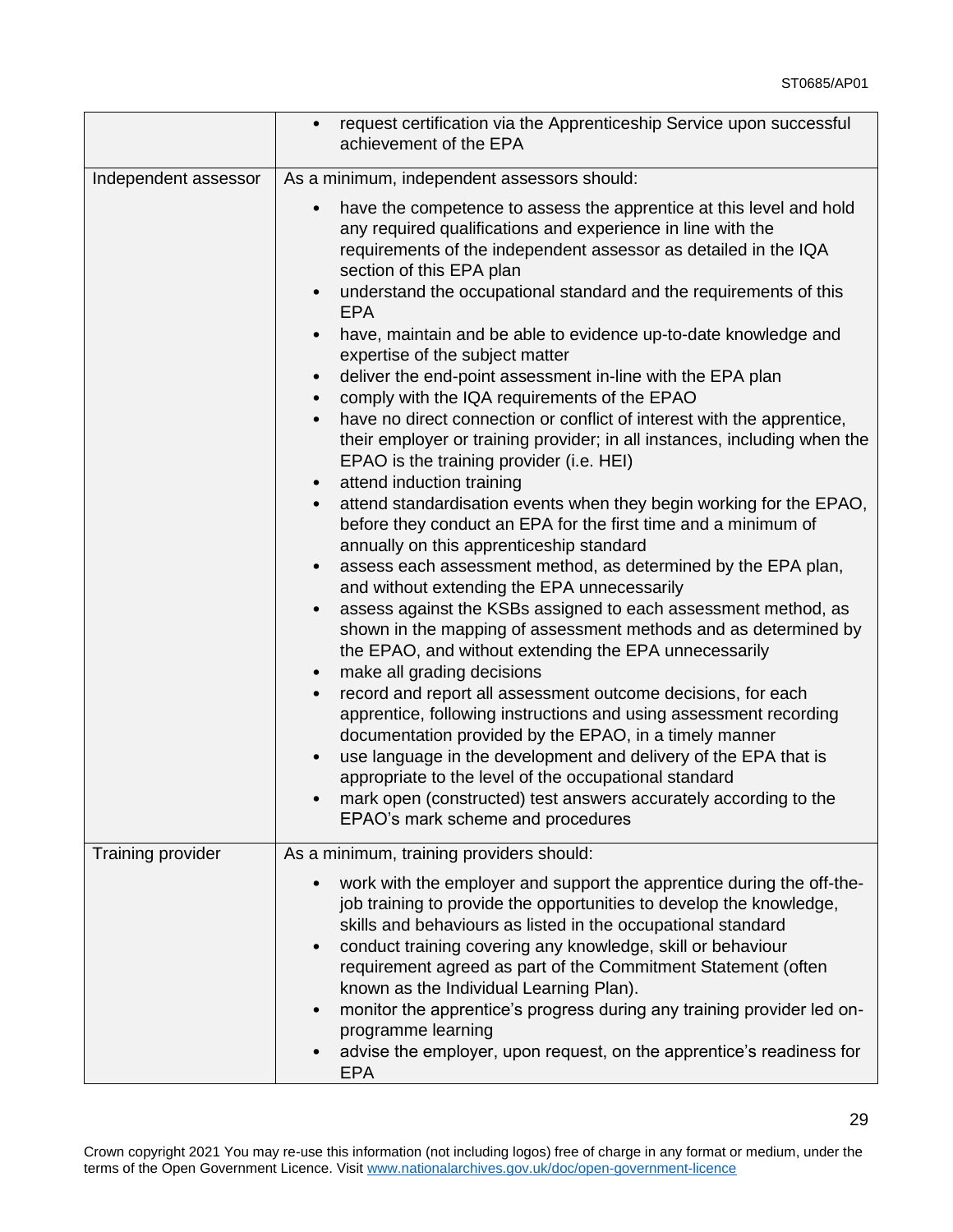|                      | request certification via the Apprenticeship Service upon successful<br>achievement of the EPA                                                                                                                                                                                                                                                                                                                                                                                                                                                                                                                                                                                                                                                                                                                                                                                                                                                                                                                                                                                                                                                                                                                                                                                                                                                                                                                                                                                                                                                                                                                                                                                                                                                                                                                                                                               |
|----------------------|------------------------------------------------------------------------------------------------------------------------------------------------------------------------------------------------------------------------------------------------------------------------------------------------------------------------------------------------------------------------------------------------------------------------------------------------------------------------------------------------------------------------------------------------------------------------------------------------------------------------------------------------------------------------------------------------------------------------------------------------------------------------------------------------------------------------------------------------------------------------------------------------------------------------------------------------------------------------------------------------------------------------------------------------------------------------------------------------------------------------------------------------------------------------------------------------------------------------------------------------------------------------------------------------------------------------------------------------------------------------------------------------------------------------------------------------------------------------------------------------------------------------------------------------------------------------------------------------------------------------------------------------------------------------------------------------------------------------------------------------------------------------------------------------------------------------------------------------------------------------------|
| Independent assessor | As a minimum, independent assessors should:<br>have the competence to assess the apprentice at this level and hold<br>any required qualifications and experience in line with the<br>requirements of the independent assessor as detailed in the IQA<br>section of this EPA plan<br>understand the occupational standard and the requirements of this<br>$\bullet$<br><b>EPA</b><br>have, maintain and be able to evidence up-to-date knowledge and<br>$\bullet$<br>expertise of the subject matter<br>deliver the end-point assessment in-line with the EPA plan<br>$\bullet$<br>comply with the IQA requirements of the EPAO<br>$\bullet$<br>have no direct connection or conflict of interest with the apprentice,<br>their employer or training provider; in all instances, including when the<br>EPAO is the training provider (i.e. HEI)<br>attend induction training<br>$\bullet$<br>attend standardisation events when they begin working for the EPAO,<br>$\bullet$<br>before they conduct an EPA for the first time and a minimum of<br>annually on this apprenticeship standard<br>assess each assessment method, as determined by the EPA plan,<br>$\bullet$<br>and without extending the EPA unnecessarily<br>assess against the KSBs assigned to each assessment method, as<br>$\bullet$<br>shown in the mapping of assessment methods and as determined by<br>the EPAO, and without extending the EPA unnecessarily<br>make all grading decisions<br>$\bullet$<br>record and report all assessment outcome decisions, for each<br>apprentice, following instructions and using assessment recording<br>documentation provided by the EPAO, in a timely manner<br>use language in the development and delivery of the EPA that is<br>appropriate to the level of the occupational standard<br>mark open (constructed) test answers accurately according to the |
|                      | EPAO's mark scheme and procedures                                                                                                                                                                                                                                                                                                                                                                                                                                                                                                                                                                                                                                                                                                                                                                                                                                                                                                                                                                                                                                                                                                                                                                                                                                                                                                                                                                                                                                                                                                                                                                                                                                                                                                                                                                                                                                            |
| Training provider    | As a minimum, training providers should:<br>work with the employer and support the apprentice during the off-the-<br>job training to provide the opportunities to develop the knowledge,<br>skills and behaviours as listed in the occupational standard<br>conduct training covering any knowledge, skill or behaviour<br>$\bullet$<br>requirement agreed as part of the Commitment Statement (often<br>known as the Individual Learning Plan).<br>monitor the apprentice's progress during any training provider led on-<br>$\bullet$<br>programme learning<br>advise the employer, upon request, on the apprentice's readiness for<br><b>EPA</b>                                                                                                                                                                                                                                                                                                                                                                                                                                                                                                                                                                                                                                                                                                                                                                                                                                                                                                                                                                                                                                                                                                                                                                                                                          |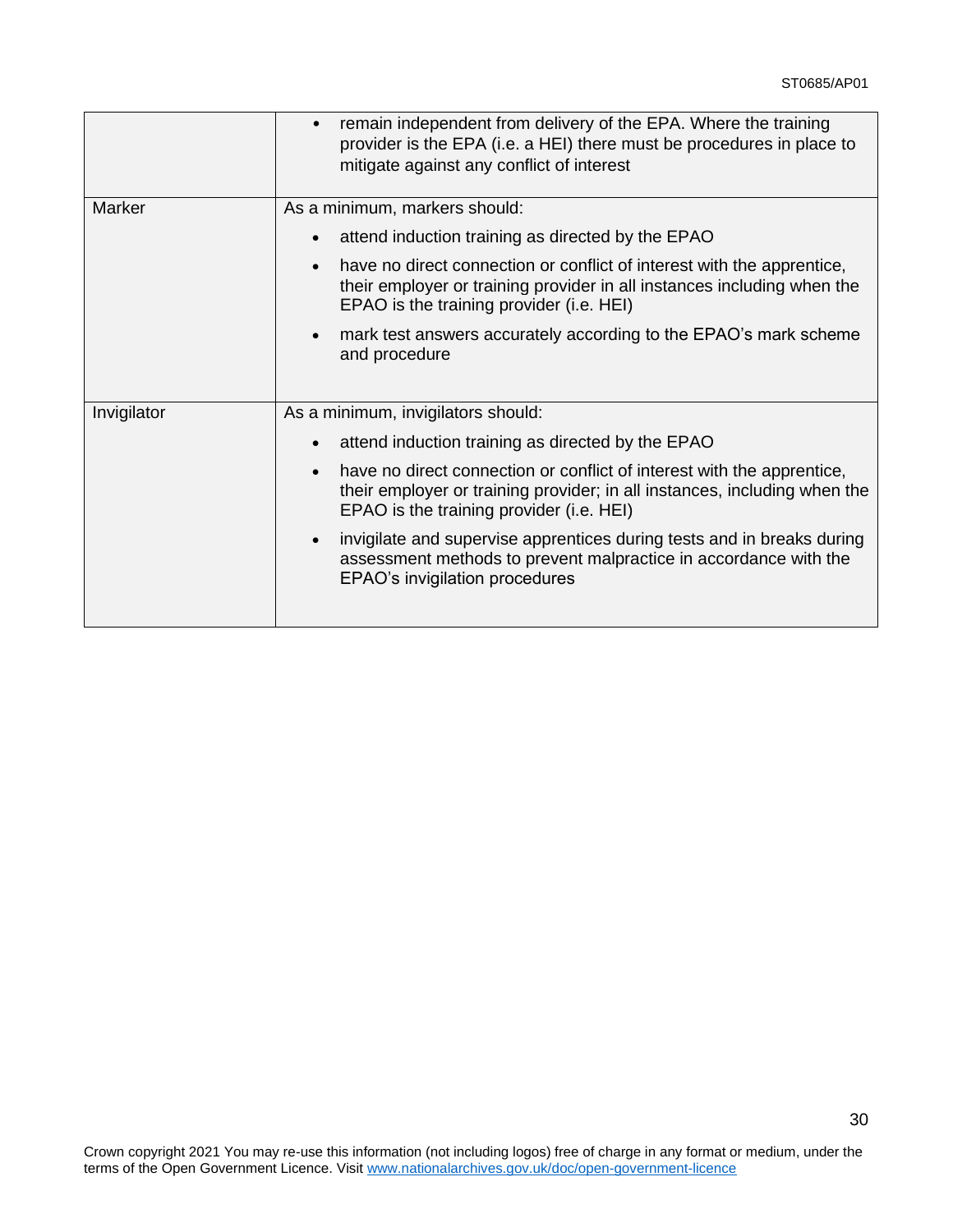|             | remain independent from delivery of the EPA. Where the training<br>provider is the EPA (i.e. a HEI) there must be procedures in place to<br>mitigate against any conflict of interest                                                                                                                                                                                                                                                                                                                |
|-------------|------------------------------------------------------------------------------------------------------------------------------------------------------------------------------------------------------------------------------------------------------------------------------------------------------------------------------------------------------------------------------------------------------------------------------------------------------------------------------------------------------|
| Marker      | As a minimum, markers should:<br>attend induction training as directed by the EPAO<br>have no direct connection or conflict of interest with the apprentice,<br>$\bullet$<br>their employer or training provider in all instances including when the<br>EPAO is the training provider (i.e. HEI)                                                                                                                                                                                                     |
|             | mark test answers accurately according to the EPAO's mark scheme<br>$\bullet$<br>and procedure                                                                                                                                                                                                                                                                                                                                                                                                       |
| Invigilator | As a minimum, invigilators should:<br>attend induction training as directed by the EPAO<br>have no direct connection or conflict of interest with the apprentice,<br>$\bullet$<br>their employer or training provider; in all instances, including when the<br>EPAO is the training provider (i.e. HEI)<br>invigilate and supervise apprentices during tests and in breaks during<br>$\bullet$<br>assessment methods to prevent malpractice in accordance with the<br>EPAO's invigilation procedures |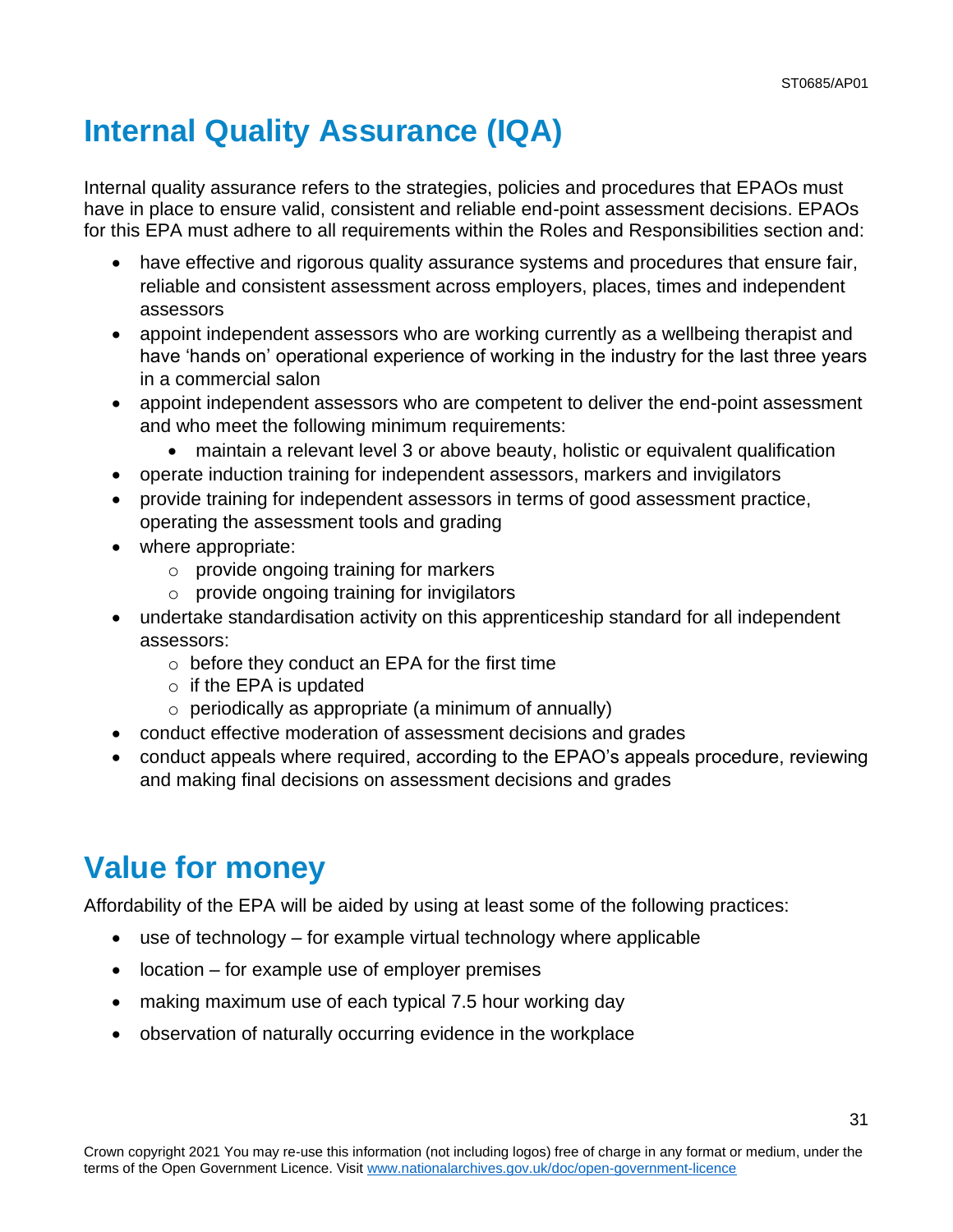# <span id="page-30-0"></span>**Internal Quality Assurance (IQA)**

Internal quality assurance refers to the strategies, policies and procedures that EPAOs must have in place to ensure valid, consistent and reliable end-point assessment decisions. EPAOs for this EPA must adhere to all requirements within the Roles and Responsibilities section and:

- have effective and rigorous quality assurance systems and procedures that ensure fair, reliable and consistent assessment across employers, places, times and independent assessors
- appoint independent assessors who are working currently as a wellbeing therapist and have 'hands on' operational experience of working in the industry for the last three years in a commercial salon
- appoint independent assessors who are competent to deliver the end-point assessment and who meet the following minimum requirements:
	- maintain a relevant level 3 or above beauty, holistic or equivalent qualification
- operate induction training for independent assessors, markers and invigilators
- provide training for independent assessors in terms of good assessment practice, operating the assessment tools and grading
- where appropriate:
	- o provide ongoing training for markers
	- $\circ$  provide ongoing training for invigilators
- undertake standardisation activity on this apprenticeship standard for all independent assessors:
	- $\circ$  before they conduct an EPA for the first time
	- $\circ$  if the EPA is updated
	- $\circ$  periodically as appropriate (a minimum of annually)
- conduct effective moderation of assessment decisions and grades
- conduct appeals where required, according to the EPAO's appeals procedure, reviewing and making final decisions on assessment decisions and grades

# **Value for money**

Affordability of the EPA will be aided by using at least some of the following practices:

- use of technology for example virtual technology where applicable
- location for example use of employer premises
- making maximum use of each typical 7.5 hour working day
- observation of naturally occurring evidence in the workplace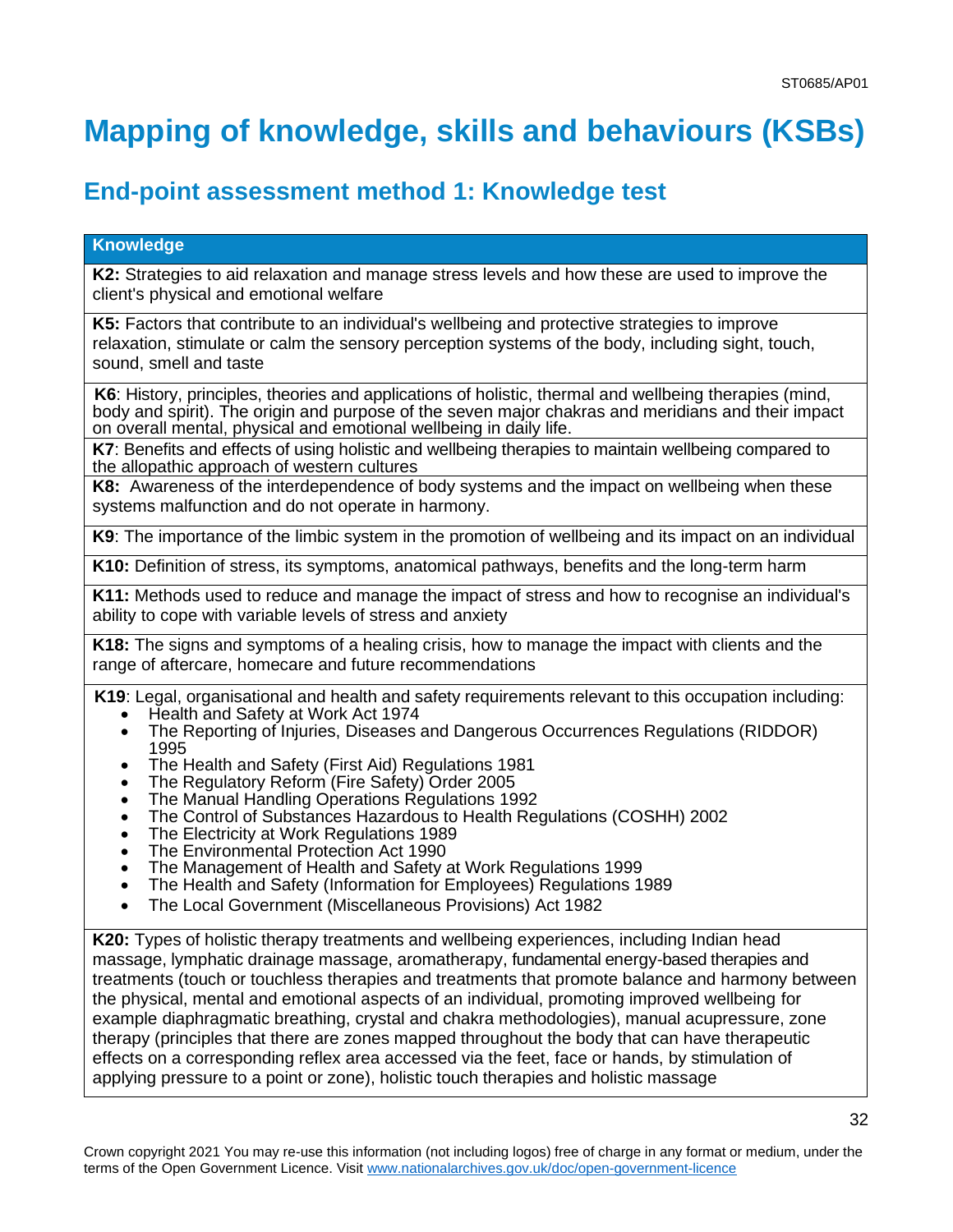# <span id="page-31-0"></span>**Mapping of knowledge, skills and behaviours (KSBs)**

## **End-point assessment method 1: Knowledge test**

### **Knowledge K2:** Strategies to aid relaxation and manage stress levels and how these are used to improve the client's physical and emotional welfare **K5:** Factors that contribute to an individual's wellbeing and protective strategies to improve relaxation, stimulate or calm the sensory perception systems of the body, including sight, touch, sound, smell and taste **K6**: History, principles, theories and applications of holistic, thermal and wellbeing therapies (mind, body and spirit). The origin and purpose of the seven major chakras and meridians and their impact on overall mental, physical and emotional wellbeing in daily life. **K7**: Benefits and effects of using holistic and wellbeing therapies to maintain wellbeing compared to the allopathic approach of western cultures **K8:** Awareness of the interdependence of body systems and the impact on wellbeing when these systems malfunction and do not operate in harmony. **K9**: The importance of the limbic system in the promotion of wellbeing and its impact on an individual **K10:** Definition of stress, its symptoms, anatomical pathways, benefits and the long-term harm **K11:** Methods used to reduce and manage the impact of stress and how to recognise an individual's ability to cope with variable levels of stress and anxiety **K18:** The signs and symptoms of a healing crisis, how to manage the impact with clients and the range of aftercare, homecare and future recommendations **K19**: Legal, organisational and health and safety requirements relevant to this occupation including: • Health and Safety at Work Act 1974 • The Reporting of Injuries, Diseases and Dangerous Occurrences Regulations (RIDDOR) 1995 • The Health and Safety (First Aid) Regulations 1981 • The Regulatory Reform (Fire Safety) Order 2005 • The Manual Handling Operations Regulations 1992 • The Control of Substances Hazardous to Health Regulations (COSHH) 2002 • The Electricity at Work Regulations 1989 • The Environmental Protection Act 1990 • The Management of Health and Safety at Work Regulations 1999 • The Health and Safety (Information for Employees) Regulations 1989 • The Local Government (Miscellaneous Provisions) Act 1982 **K20:** Types of holistic therapy treatments and wellbeing experiences, including Indian head massage, lymphatic drainage massage, aromatherapy, fundamental energy-based therapies and treatments (touch or touchless therapies and treatments that promote balance and harmony between the physical, mental and emotional aspects of an individual, promoting improved wellbeing for example diaphragmatic breathing, crystal and chakra methodologies), manual acupressure, zone

therapy (principles that there are zones mapped throughout the body that can have therapeutic effects on a corresponding reflex area accessed via the feet, face or hands, by stimulation of applying pressure to a point or zone), holistic touch therapies and holistic massage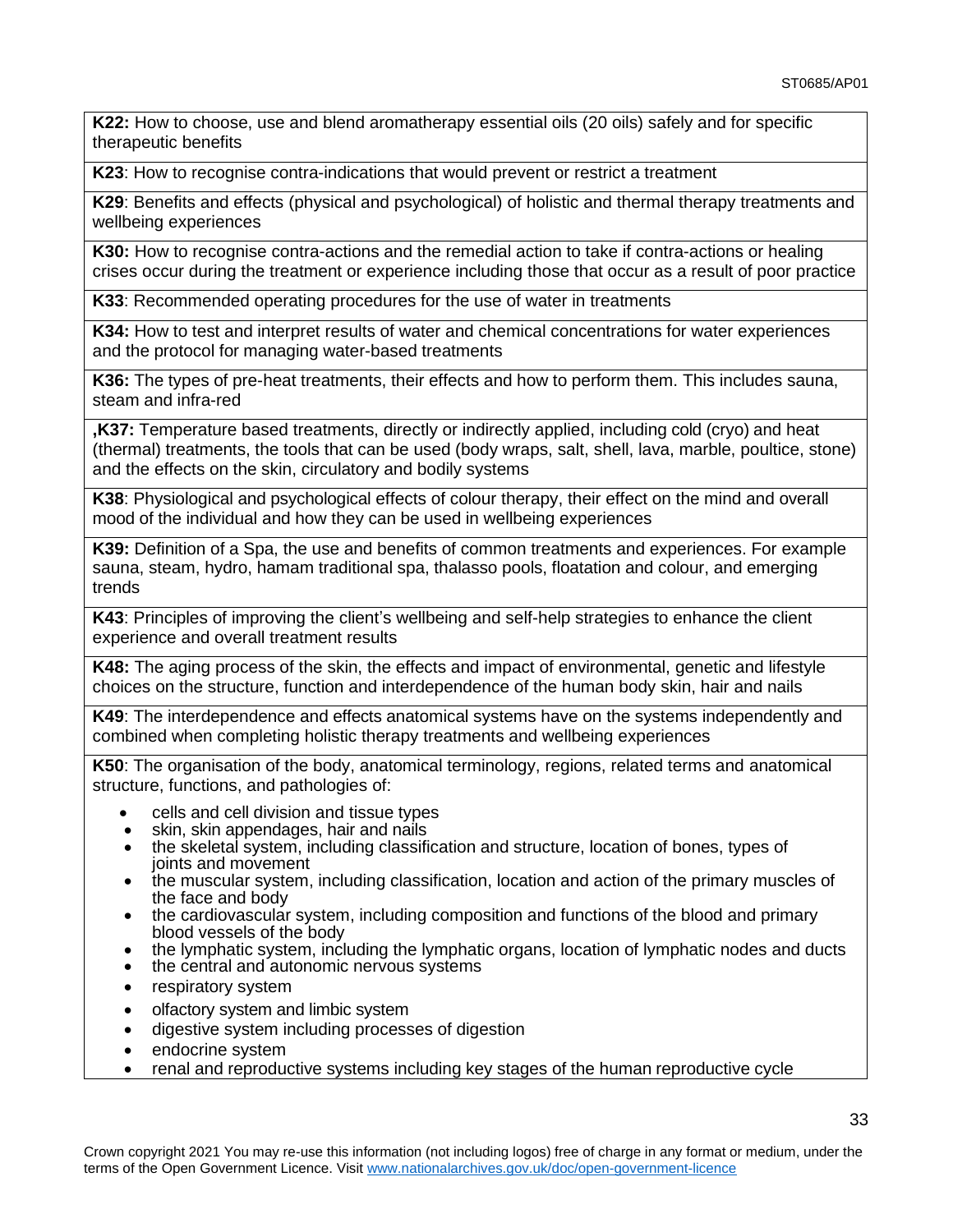**K22:** How to choose, use and blend aromatherapy essential oils (20 oils) safely and for specific therapeutic benefits

**K23**: How to recognise contra-indications that would prevent or restrict a treatment

**K29**: Benefits and effects (physical and psychological) of holistic and thermal therapy treatments and wellbeing experiences

**K30:** How to recognise contra-actions and the remedial action to take if contra-actions or healing crises occur during the treatment or experience including those that occur as a result of poor practice

**K33**: Recommended operating procedures for the use of water in treatments

**K34:** How to test and interpret results of water and chemical concentrations for water experiences and the protocol for managing water-based treatments

**K36:** The types of pre-heat treatments, their effects and how to perform them. This includes sauna, steam and infra-red

**,K37:** Temperature based treatments, directly or indirectly applied, including cold (cryo) and heat (thermal) treatments, the tools that can be used (body wraps, salt, shell, lava, marble, poultice, stone) and the effects on the skin, circulatory and bodily systems

**K38**: Physiological and psychological effects of colour therapy, their effect on the mind and overall mood of the individual and how they can be used in wellbeing experiences

**K39:** Definition of a Spa, the use and benefits of common treatments and experiences. For example sauna, steam, hydro, hamam traditional spa, thalasso pools, floatation and colour, and emerging trends

**K43**: Principles of improving the client's wellbeing and self-help strategies to enhance the client experience and overall treatment results

**K48:** The aging process of the skin, the effects and impact of environmental, genetic and lifestyle choices on the structure, function and interdependence of the human body skin, hair and nails

**K49**: The interdependence and effects anatomical systems have on the systems independently and combined when completing holistic therapy treatments and wellbeing experiences

**K50**: The organisation of the body, anatomical terminology, regions, related terms and anatomical structure, functions, and pathologies of:

- cells and cell division and tissue types
- skin, skin appendages, hair and nails
- the skeletal system, including classification and structure, location of bones, types of joints and movement
- the muscular system, including classification, location and action of the primary muscles of the face and body
- the cardiovascular system, including composition and functions of the blood and primary blood vessels of the body
- the lymphatic system, including the lymphatic organs, location of lymphatic nodes and ducts
- the central and autonomic nervous systems
- respiratory system
- olfactory system and limbic system
- digestive system including processes of digestion
- endocrine system
- renal and reproductive systems including key stages of the human reproductive cycle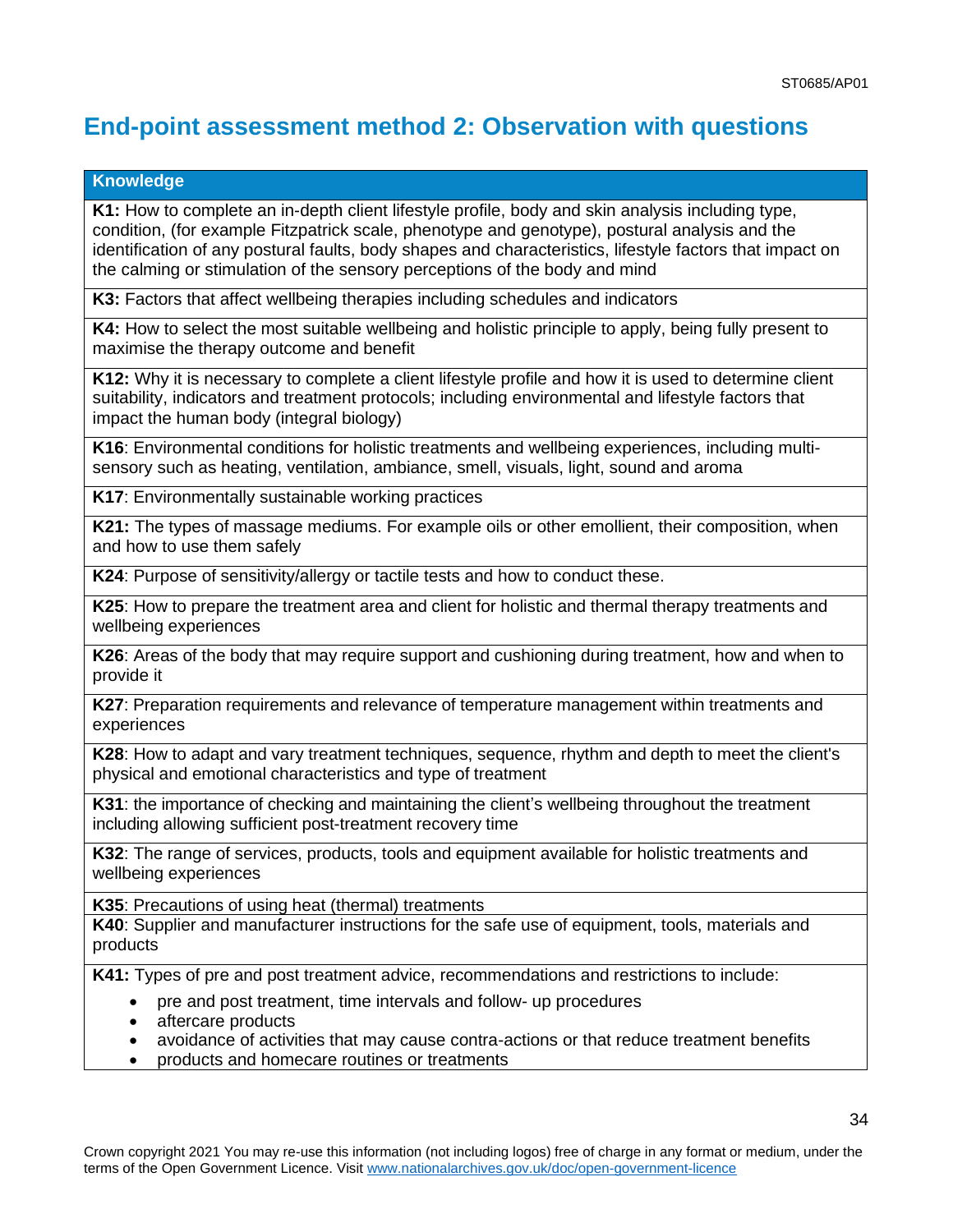## **End-point assessment method 2: Observation with questions**

#### **Knowledge**

**K1:** How to complete an in-depth client lifestyle profile, body and skin analysis including type, condition, (for example Fitzpatrick scale, phenotype and genotype), postural analysis and the identification of any postural faults, body shapes and characteristics, lifestyle factors that impact on the calming or stimulation of the sensory perceptions of the body and mind

**K3:** Factors that affect wellbeing therapies including schedules and indicators

**K4:** How to select the most suitable wellbeing and holistic principle to apply, being fully present to maximise the therapy outcome and benefit

**K12:** Why it is necessary to complete a client lifestyle profile and how it is used to determine client suitability, indicators and treatment protocols; including environmental and lifestyle factors that impact the human body (integral biology)

**K16**: Environmental conditions for holistic treatments and wellbeing experiences, including multisensory such as heating, ventilation, ambiance, smell, visuals, light, sound and aroma

**K17**: Environmentally sustainable working practices

**K21:** The types of massage mediums. For example oils or other emollient, their composition, when and how to use them safely

**K24**: Purpose of sensitivity/allergy or tactile tests and how to conduct these.

**K25**: How to prepare the treatment area and client for holistic and thermal therapy treatments and wellbeing experiences

**K26**: Areas of the body that may require support and cushioning during treatment, how and when to provide it

**K27**: Preparation requirements and relevance of temperature management within treatments and experiences

**K28**: How to adapt and vary treatment techniques, sequence, rhythm and depth to meet the client's physical and emotional characteristics and type of treatment

**K31**: the importance of checking and maintaining the client's wellbeing throughout the treatment including allowing sufficient post-treatment recovery time

**K32**: The range of services, products, tools and equipment available for holistic treatments and wellbeing experiences

**K35**: Precautions of using heat (thermal) treatments

**K40**: Supplier and manufacturer instructions for the safe use of equipment, tools, materials and products

**K41:** Types of pre and post treatment advice, recommendations and restrictions to include:

- pre and post treatment, time intervals and follow- up procedures
- aftercare products
- avoidance of activities that may cause contra-actions or that reduce treatment benefits
- products and homecare routines or treatments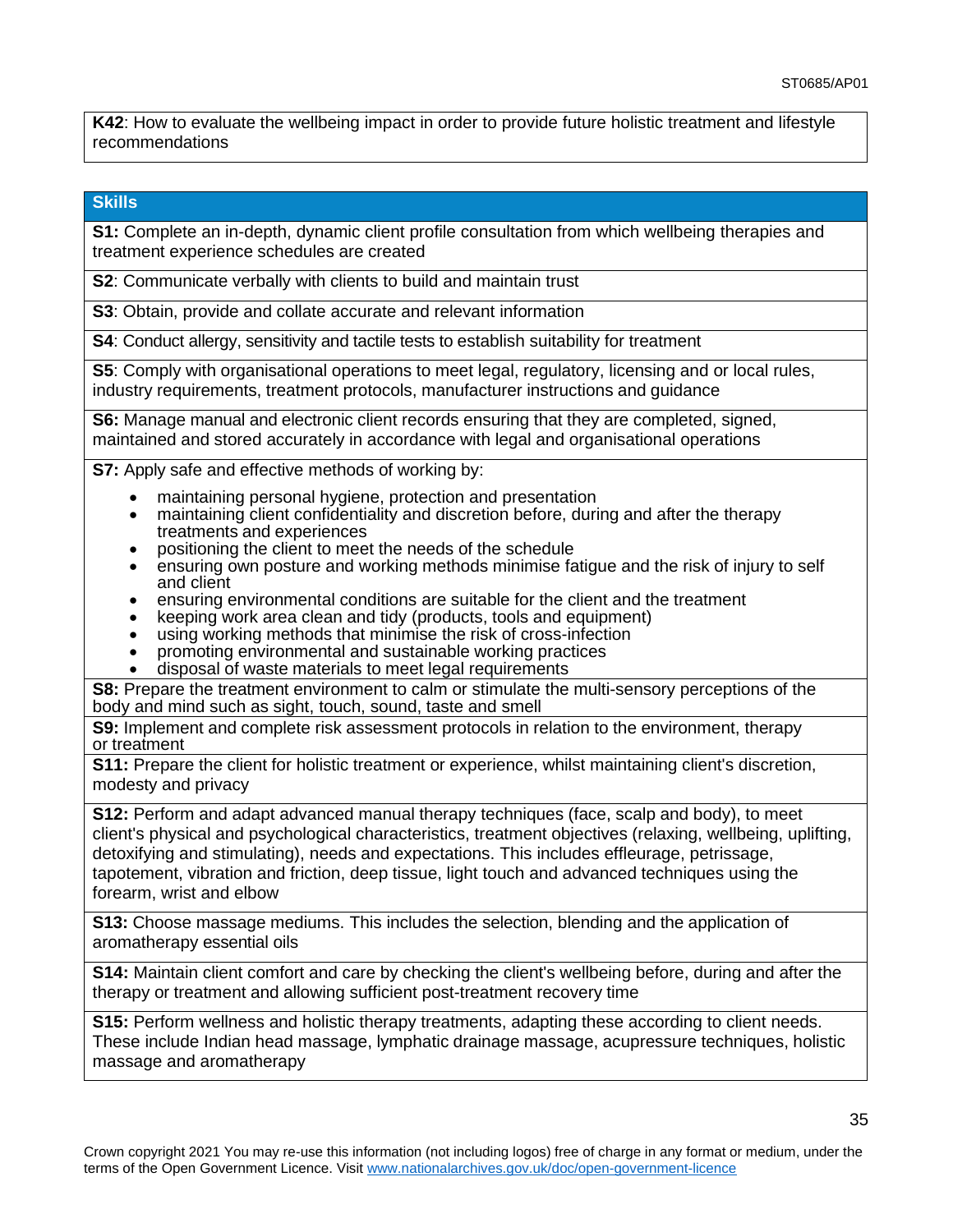**K42**: How to evaluate the wellbeing impact in order to provide future holistic treatment and lifestyle recommendations

#### **Skills**

**S1:** Complete an in-depth, dynamic client profile consultation from which wellbeing therapies and treatment experience schedules are created

**S2**: Communicate verbally with clients to build and maintain trust

**S3**: Obtain, provide and collate accurate and relevant information

**S4**: Conduct allergy, sensitivity and tactile tests to establish suitability for treatment

**S5**: Comply with organisational operations to meet legal, regulatory, licensing and or local rules, industry requirements, treatment protocols, manufacturer instructions and guidance

**S6:** Manage manual and electronic client records ensuring that they are completed, signed, maintained and stored accurately in accordance with legal and organisational operations

**S7:** Apply safe and effective methods of working by:

- maintaining personal hygiene, protection and presentation
- maintaining client confidentiality and discretion before, during and after the therapy treatments and experiences
- positioning the client to meet the needs of the schedule
- ensuring own posture and working methods minimise fatigue and the risk of injury to self and client
- ensuring environmental conditions are suitable for the client and the treatment
- keeping work area clean and tidy (products, tools and equipment)
- using working methods that minimise the risk of cross-infection
- promoting environmental and sustainable working practices
- disposal of waste materials to meet legal requirements

**S8:** Prepare the treatment environment to calm or stimulate the multi-sensory perceptions of the body and mind such as sight, touch, sound, taste and smell

**S9:** Implement and complete risk assessment protocols in relation to the environment, therapy or treatment

**S11:** Prepare the client for holistic treatment or experience, whilst maintaining client's discretion, modesty and privacy

**S12:** Perform and adapt advanced manual therapy techniques (face, scalp and body), to meet client's physical and psychological characteristics, treatment objectives (relaxing, wellbeing, uplifting, detoxifying and stimulating), needs and expectations. This includes effleurage, petrissage, tapotement, vibration and friction, deep tissue, light touch and advanced techniques using the forearm, wrist and elbow

**S13:** Choose massage mediums. This includes the selection, blending and the application of aromatherapy essential oils

**S14:** Maintain client comfort and care by checking the client's wellbeing before, during and after the therapy or treatment and allowing sufficient post-treatment recovery time

**S15:** Perform wellness and holistic therapy treatments, adapting these according to client needs. These include Indian head massage, lymphatic drainage massage, acupressure techniques, holistic massage and aromatherapy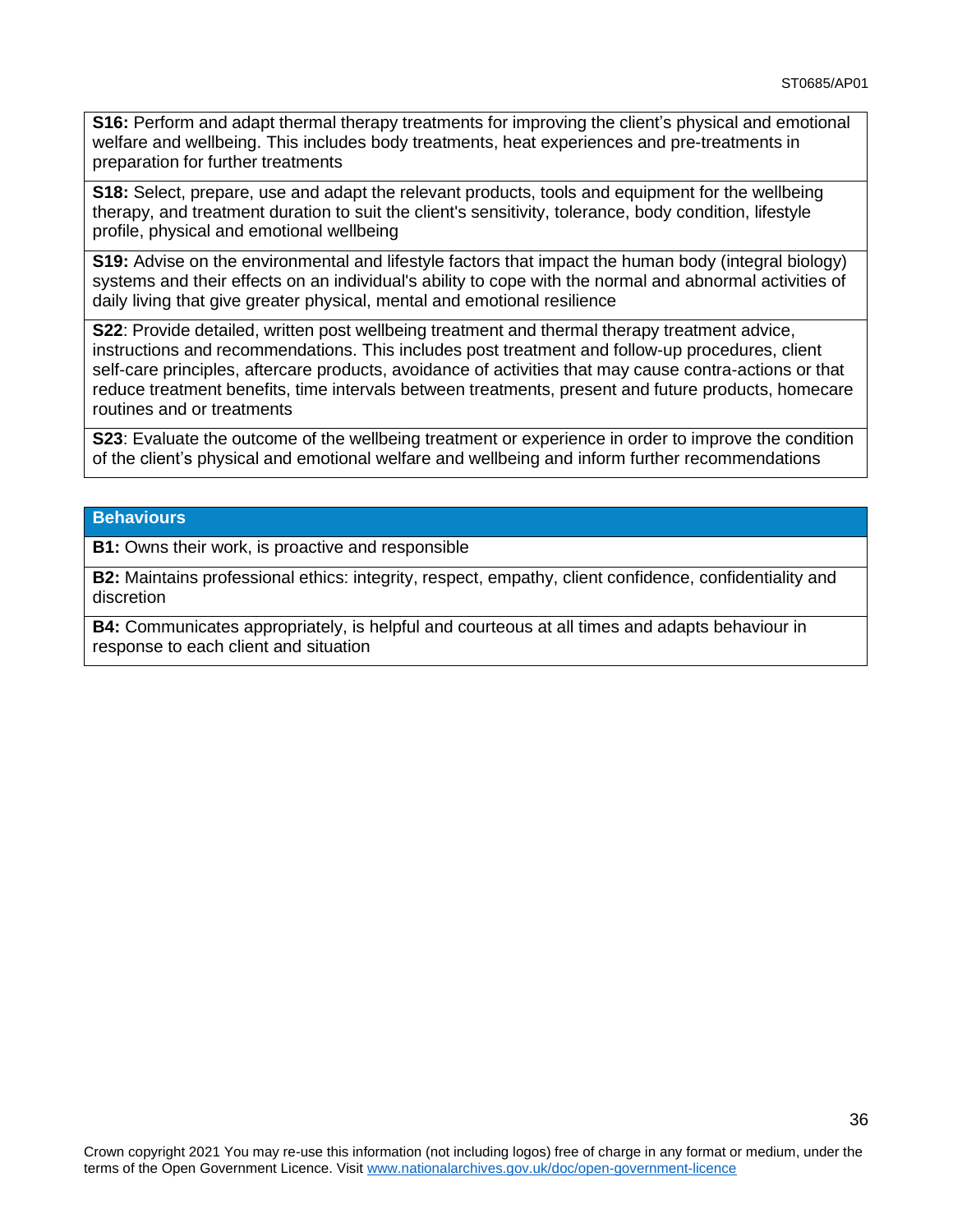**S16:** Perform and adapt thermal therapy treatments for improving the client's physical and emotional welfare and wellbeing. This includes body treatments, heat experiences and pre-treatments in preparation for further treatments

**S18:** Select, prepare, use and adapt the relevant products, tools and equipment for the wellbeing therapy, and treatment duration to suit the client's sensitivity, tolerance, body condition, lifestyle profile, physical and emotional wellbeing

**S19:** Advise on the environmental and lifestyle factors that impact the human body (integral biology) systems and their effects on an individual's ability to cope with the normal and abnormal activities of daily living that give greater physical, mental and emotional resilience

**S22**: Provide detailed, written post wellbeing treatment and thermal therapy treatment advice, instructions and recommendations. This includes post treatment and follow-up procedures, client self-care principles, aftercare products, avoidance of activities that may cause contra-actions or that reduce treatment benefits, time intervals between treatments, present and future products, homecare routines and or treatments

**S23**: Evaluate the outcome of the wellbeing treatment or experience in order to improve the condition of the client's physical and emotional welfare and wellbeing and inform further recommendations

#### **Behaviours**

**B1:** Owns their work, is proactive and responsible

**B2:** Maintains professional ethics: integrity, respect, empathy, client confidence, confidentiality and discretion

**B4:** Communicates appropriately, is helpful and courteous at all times and adapts behaviour in response to each client and situation